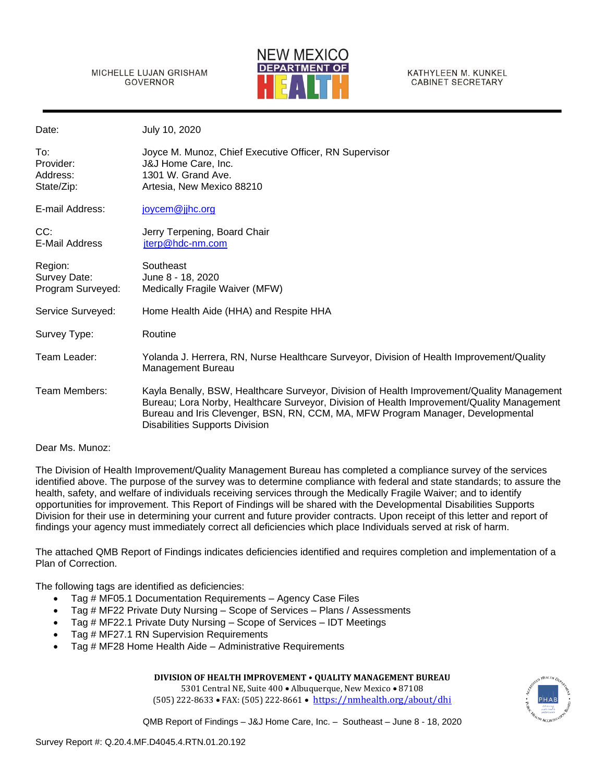MICHELLE LUJAN GRISHAM GOVERNOR



KATHYLEEN M. KUNKEL **CABINET SECRETARY** 

| Date:                                        | July 10, 2020                                                                                                                                                                                                                                                                                                        |
|----------------------------------------------|----------------------------------------------------------------------------------------------------------------------------------------------------------------------------------------------------------------------------------------------------------------------------------------------------------------------|
| To:<br>Provider:<br>Address:<br>State/Zip:   | Joyce M. Munoz, Chief Executive Officer, RN Supervisor<br>J&J Home Care, Inc.<br>1301 W. Grand Ave.<br>Artesia, New Mexico 88210                                                                                                                                                                                     |
| E-mail Address:                              | joycem@jjhc.org                                                                                                                                                                                                                                                                                                      |
| CC:<br>E-Mail Address                        | Jerry Terpening, Board Chair<br>jterp@hdc-nm.com                                                                                                                                                                                                                                                                     |
| Region:<br>Survey Date:<br>Program Surveyed: | Southeast<br>June 8 - 18, 2020<br>Medically Fragile Waiver (MFW)                                                                                                                                                                                                                                                     |
| Service Surveyed:                            | Home Health Aide (HHA) and Respite HHA                                                                                                                                                                                                                                                                               |
| Survey Type:                                 | Routine                                                                                                                                                                                                                                                                                                              |
| Team Leader:                                 | Yolanda J. Herrera, RN, Nurse Healthcare Surveyor, Division of Health Improvement/Quality<br>Management Bureau                                                                                                                                                                                                       |
| Team Members:                                | Kayla Benally, BSW, Healthcare Surveyor, Division of Health Improvement/Quality Management<br>Bureau; Lora Norby, Healthcare Surveyor, Division of Health Improvement/Quality Management<br>Bureau and Iris Clevenger, BSN, RN, CCM, MA, MFW Program Manager, Developmental<br><b>Disabilities Supports Division</b> |

#### Dear Ms. Munoz:

The Division of Health Improvement/Quality Management Bureau has completed a compliance survey of the services identified above. The purpose of the survey was to determine compliance with federal and state standards; to assure the health, safety, and welfare of individuals receiving services through the Medically Fragile Waiver; and to identify opportunities for improvement. This Report of Findings will be shared with the Developmental Disabilities Supports Division for their use in determining your current and future provider contracts. Upon receipt of this letter and report of findings your agency must immediately correct all deficiencies which place Individuals served at risk of harm.

The attached QMB Report of Findings indicates deficiencies identified and requires completion and implementation of a Plan of Correction.

The following tags are identified as deficiencies:

- Tag # MF05.1 Documentation Requirements Agency Case Files
- Tag # MF22 Private Duty Nursing Scope of Services Plans / Assessments
- Tag # MF22.1 Private Duty Nursing Scope of Services IDT Meetings
- Tag # MF27.1 RN Supervision Requirements
- Tag # MF28 Home Health Aide Administrative Requirements



5301 Central NE, Suite 400 • Albuquerque, New Mexico • 87108 (505) 222-8633 • FAX: (505) 222-8661 • <https://nmhealth.org/about/dhi>

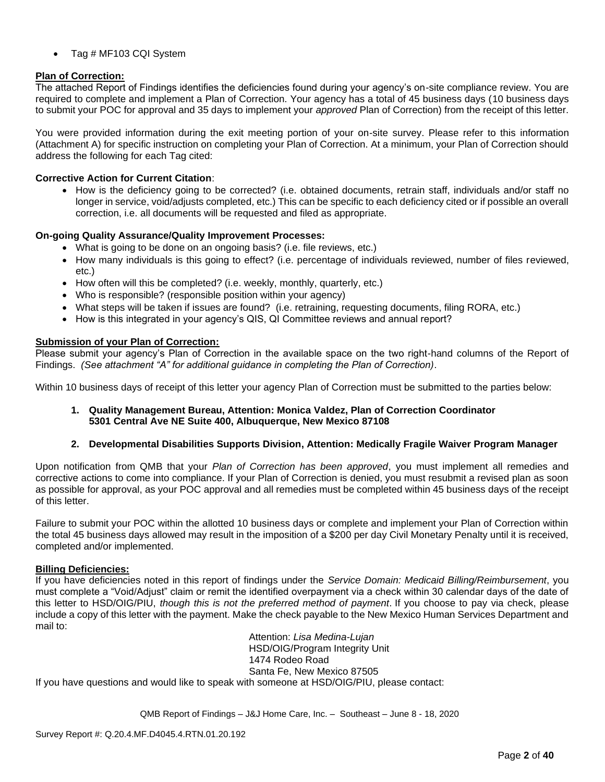• Tag # MF103 CQI System

## **Plan of Correction:**

The attached Report of Findings identifies the deficiencies found during your agency's on-site compliance review. You are required to complete and implement a Plan of Correction. Your agency has a total of 45 business days (10 business days to submit your POC for approval and 35 days to implement your *approved* Plan of Correction) from the receipt of this letter.

You were provided information during the exit meeting portion of your on-site survey. Please refer to this information (Attachment A) for specific instruction on completing your Plan of Correction. At a minimum, your Plan of Correction should address the following for each Tag cited:

## **Corrective Action for Current Citation**:

• How is the deficiency going to be corrected? (i.e. obtained documents, retrain staff, individuals and/or staff no longer in service, void/adjusts completed, etc.) This can be specific to each deficiency cited or if possible an overall correction, i.e. all documents will be requested and filed as appropriate.

## **On-going Quality Assurance/Quality Improvement Processes:**

- What is going to be done on an ongoing basis? (i.e. file reviews, etc.)
- How many individuals is this going to effect? (i.e. percentage of individuals reviewed, number of files reviewed, etc.)
- How often will this be completed? (i.e. weekly, monthly, quarterly, etc.)
- Who is responsible? (responsible position within your agency)
- What steps will be taken if issues are found? (i.e. retraining, requesting documents, filing RORA, etc.)
- How is this integrated in your agency's QIS, QI Committee reviews and annual report?

## **Submission of your Plan of Correction:**

Please submit your agency's Plan of Correction in the available space on the two right-hand columns of the Report of Findings. *(See attachment "A" for additional guidance in completing the Plan of Correction)*.

Within 10 business days of receipt of this letter your agency Plan of Correction must be submitted to the parties below:

**1. Quality Management Bureau, Attention: Monica Valdez, Plan of Correction Coordinator 5301 Central Ave NE Suite 400, Albuquerque, New Mexico 87108**

## **2. Developmental Disabilities Supports Division, Attention: Medically Fragile Waiver Program Manager**

Upon notification from QMB that your *Plan of Correction has been approved*, you must implement all remedies and corrective actions to come into compliance. If your Plan of Correction is denied, you must resubmit a revised plan as soon as possible for approval, as your POC approval and all remedies must be completed within 45 business days of the receipt of this letter.

Failure to submit your POC within the allotted 10 business days or complete and implement your Plan of Correction within the total 45 business days allowed may result in the imposition of a \$200 per day Civil Monetary Penalty until it is received, completed and/or implemented.

## **Billing Deficiencies:**

If you have deficiencies noted in this report of findings under the *Service Domain: Medicaid Billing/Reimbursement*, you must complete a "Void/Adjust" claim or remit the identified overpayment via a check within 30 calendar days of the date of this letter to HSD/OIG/PIU, *though this is not the preferred method of payment*. If you choose to pay via check, please include a copy of this letter with the payment. Make the check payable to the New Mexico Human Services Department and mail to:

Attention: *Lisa Medina-Lujan* HSD/OIG/Program Integrity Unit 1474 Rodeo Road Santa Fe, New Mexico 87505 If you have questions and would like to speak with someone at HSD/OIG/PIU, please contact: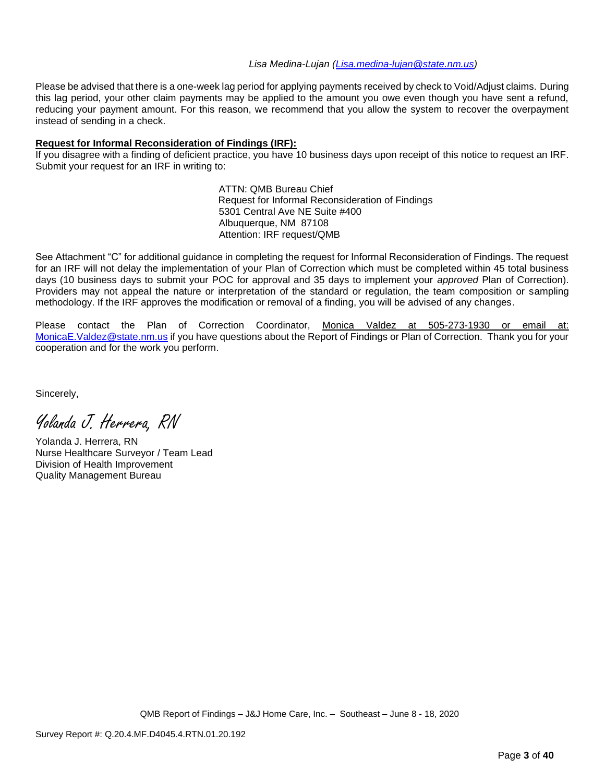#### *Lisa Medina-Lujan [\(Lisa.medina-lujan@state.nm.us\)](mailto:Lisa.medina-lujan@state.nm.us)*

Please be advised that there is a one-week lag period for applying payments received by check to Void/Adjust claims. During this lag period, your other claim payments may be applied to the amount you owe even though you have sent a refund, reducing your payment amount. For this reason, we recommend that you allow the system to recover the overpayment instead of sending in a check.

## **Request for Informal Reconsideration of Findings (IRF):**

If you disagree with a finding of deficient practice, you have 10 business days upon receipt of this notice to request an IRF. Submit your request for an IRF in writing to:

> ATTN: QMB Bureau Chief Request for Informal Reconsideration of Findings 5301 Central Ave NE Suite #400 Albuquerque, NM 87108 Attention: IRF request/QMB

See Attachment "C" for additional guidance in completing the request for Informal Reconsideration of Findings. The request for an IRF will not delay the implementation of your Plan of Correction which must be completed within 45 total business days (10 business days to submit your POC for approval and 35 days to implement your *approved* Plan of Correction). Providers may not appeal the nature or interpretation of the standard or regulation, the team composition or sampling methodology. If the IRF approves the modification or removal of a finding, you will be advised of any changes.

Please contact the Plan of Correction Coordinator, Monica Valdez at 505-273-1930 or email at: [MonicaE.Valdez@state.nm.us](mailto:MonicaE.Valdez@state.nm.us) if you have questions about the Report of Findings or Plan of Correction. Thank you for your cooperation and for the work you perform.

Sincerely,

Yolanda J. Herrera, RN

Yolanda J. Herrera, RN Nurse Healthcare Surveyor / Team Lead Division of Health Improvement Quality Management Bureau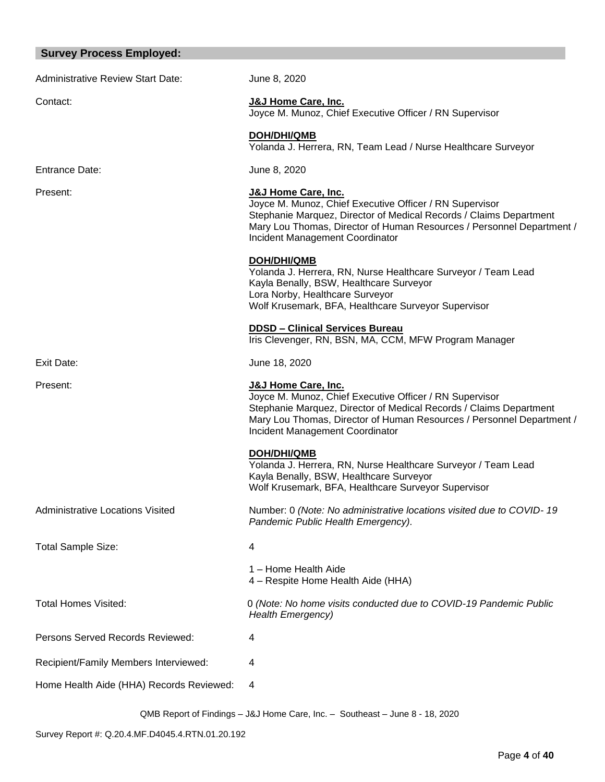# **Survey Process Employed:**

| <b>Administrative Review Start Date:</b> | June 8, 2020                                                                                                                                                                                                                                                                |
|------------------------------------------|-----------------------------------------------------------------------------------------------------------------------------------------------------------------------------------------------------------------------------------------------------------------------------|
| Contact:                                 | J&J Home Care, Inc.<br>Joyce M. Munoz, Chief Executive Officer / RN Supervisor                                                                                                                                                                                              |
|                                          | DOH/DHI/QMB<br>Yolanda J. Herrera, RN, Team Lead / Nurse Healthcare Surveyor                                                                                                                                                                                                |
| <b>Entrance Date:</b>                    | June 8, 2020                                                                                                                                                                                                                                                                |
| Present:                                 | <b>J&amp;J Home Care, Inc.</b><br>Joyce M. Munoz, Chief Executive Officer / RN Supervisor<br>Stephanie Marquez, Director of Medical Records / Claims Department<br>Mary Lou Thomas, Director of Human Resources / Personnel Department /<br>Incident Management Coordinator |
|                                          | <b>DOH/DHI/QMB</b><br>Yolanda J. Herrera, RN, Nurse Healthcare Surveyor / Team Lead<br>Kayla Benally, BSW, Healthcare Surveyor<br>Lora Norby, Healthcare Surveyor<br>Wolf Krusemark, BFA, Healthcare Surveyor Supervisor                                                    |
|                                          | <b>DDSD - Clinical Services Bureau</b><br>Iris Clevenger, RN, BSN, MA, CCM, MFW Program Manager                                                                                                                                                                             |
| Exit Date:                               | June 18, 2020                                                                                                                                                                                                                                                               |
| Present:                                 | <b>J&amp;J Home Care, Inc.</b><br>Joyce M. Munoz, Chief Executive Officer / RN Supervisor<br>Stephanie Marquez, Director of Medical Records / Claims Department<br>Mary Lou Thomas, Director of Human Resources / Personnel Department /<br>Incident Management Coordinator |
|                                          | <b>DOH/DHI/QMB</b><br>Yolanda J. Herrera, RN, Nurse Healthcare Surveyor / Team Lead<br>Kayla Benally, BSW, Healthcare Surveyor<br>Wolf Krusemark, BFA, Healthcare Surveyor Supervisor                                                                                       |
| Administrative Locations Visited         | Number: 0 (Note: No administrative locations visited due to COVID-19<br>Pandemic Public Health Emergency).                                                                                                                                                                  |
| Total Sample Size:                       | 4                                                                                                                                                                                                                                                                           |
|                                          | 1 - Home Health Aide<br>4 - Respite Home Health Aide (HHA)                                                                                                                                                                                                                  |
| <b>Total Homes Visited:</b>              | 0 (Note: No home visits conducted due to COVID-19 Pandemic Public<br><b>Health Emergency)</b>                                                                                                                                                                               |
| Persons Served Records Reviewed:         | 4                                                                                                                                                                                                                                                                           |
| Recipient/Family Members Interviewed:    | 4                                                                                                                                                                                                                                                                           |
| Home Health Aide (HHA) Records Reviewed: | 4                                                                                                                                                                                                                                                                           |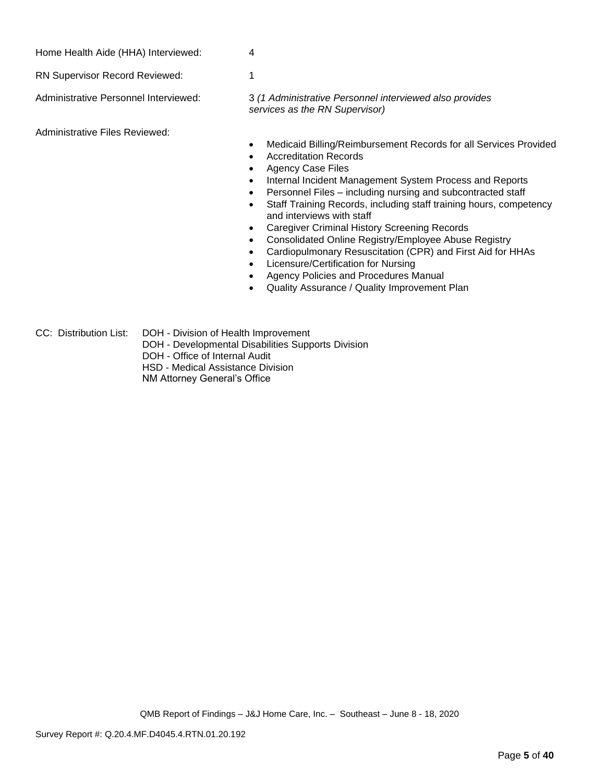| Home Health Aide (HHA) Interviewed: |
|-------------------------------------|
|-------------------------------------|

RN Supervisor Record Reviewed: 1

Administrative Personnel Interviewed: 3 *(1 Administrative Personnel interviewed also provides services as the RN Supervisor)*

Administrative Files Reviewed:

- Medicaid Billing/Reimbursement Records for all Services Provided
- Accreditation Records
- Agency Case Files
- Internal Incident Management System Process and Reports
- Personnel Files including nursing and subcontracted staff
- Staff Training Records, including staff training hours, competency and interviews with staff
- Caregiver Criminal History Screening Records
- Consolidated Online Registry/Employee Abuse Registry
- Cardiopulmonary Resuscitation (CPR) and First Aid for HHAs
- Licensure/Certification for Nursing
- Agency Policies and Procedures Manual
- Quality Assurance / Quality Improvement Plan
- CC: Distribution List: DOH Division of Health Improvement
	- DOH Developmental Disabilities Supports Division
	- DOH Office of Internal Audit
	- HSD Medical Assistance Division
	- NM Attorney General's Office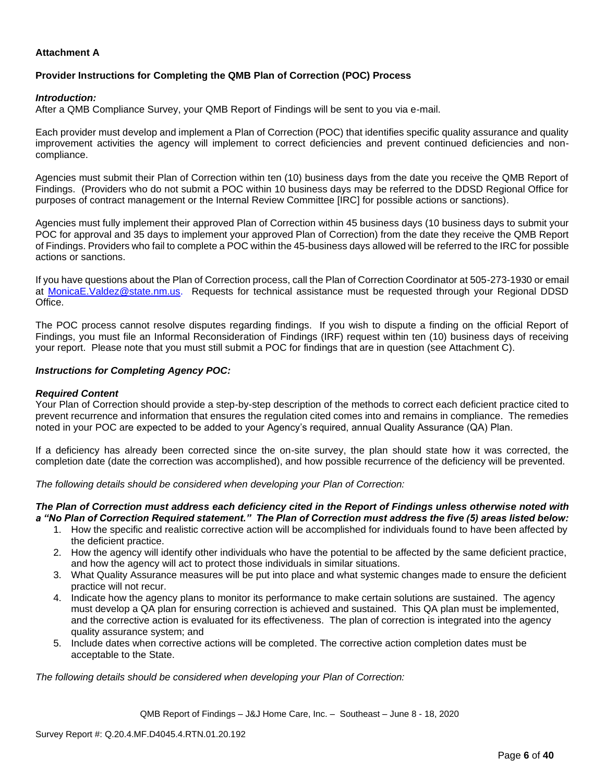## **Attachment A**

#### **Provider Instructions for Completing the QMB Plan of Correction (POC) Process**

#### *Introduction:*

After a QMB Compliance Survey, your QMB Report of Findings will be sent to you via e-mail.

Each provider must develop and implement a Plan of Correction (POC) that identifies specific quality assurance and quality improvement activities the agency will implement to correct deficiencies and prevent continued deficiencies and noncompliance.

Agencies must submit their Plan of Correction within ten (10) business days from the date you receive the QMB Report of Findings. (Providers who do not submit a POC within 10 business days may be referred to the DDSD Regional Office for purposes of contract management or the Internal Review Committee [IRC] for possible actions or sanctions).

Agencies must fully implement their approved Plan of Correction within 45 business days (10 business days to submit your POC for approval and 35 days to implement your approved Plan of Correction) from the date they receive the QMB Report of Findings. Providers who fail to complete a POC within the 45-business days allowed will be referred to the IRC for possible actions or sanctions.

If you have questions about the Plan of Correction process, call the Plan of Correction Coordinator at 505-273-1930 or email at [MonicaE.Valdez@state.nm.us.](mailto:MonicaE.Valdez@state.nm.us) Requests for technical assistance must be requested through your Regional DDSD Office.

The POC process cannot resolve disputes regarding findings. If you wish to dispute a finding on the official Report of Findings, you must file an Informal Reconsideration of Findings (IRF) request within ten (10) business days of receiving your report. Please note that you must still submit a POC for findings that are in question (see Attachment C).

#### *Instructions for Completing Agency POC:*

#### *Required Content*

Your Plan of Correction should provide a step-by-step description of the methods to correct each deficient practice cited to prevent recurrence and information that ensures the regulation cited comes into and remains in compliance. The remedies noted in your POC are expected to be added to your Agency's required, annual Quality Assurance (QA) Plan.

If a deficiency has already been corrected since the on-site survey, the plan should state how it was corrected, the completion date (date the correction was accomplished), and how possible recurrence of the deficiency will be prevented.

*The following details should be considered when developing your Plan of Correction:*

#### *The Plan of Correction must address each deficiency cited in the Report of Findings unless otherwise noted with a "No Plan of Correction Required statement." The Plan of Correction must address the five (5) areas listed below:*

- 1. How the specific and realistic corrective action will be accomplished for individuals found to have been affected by the deficient practice.
- 2. How the agency will identify other individuals who have the potential to be affected by the same deficient practice, and how the agency will act to protect those individuals in similar situations.
- 3. What Quality Assurance measures will be put into place and what systemic changes made to ensure the deficient practice will not recur.
- 4. Indicate how the agency plans to monitor its performance to make certain solutions are sustained. The agency must develop a QA plan for ensuring correction is achieved and sustained. This QA plan must be implemented, and the corrective action is evaluated for its effectiveness. The plan of correction is integrated into the agency quality assurance system; and
- 5. Include dates when corrective actions will be completed. The corrective action completion dates must be acceptable to the State.

*The following details should be considered when developing your Plan of Correction:*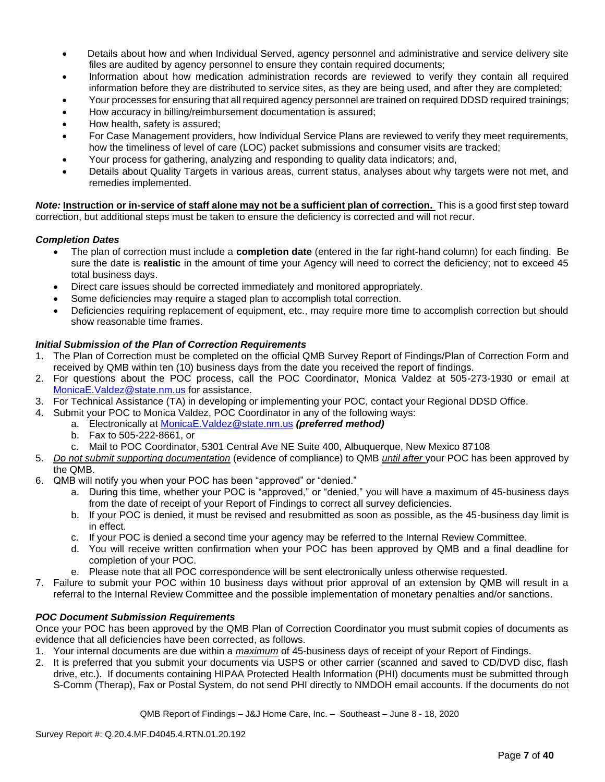- Details about how and when Individual Served, agency personnel and administrative and service delivery site files are audited by agency personnel to ensure they contain required documents;
- Information about how medication administration records are reviewed to verify they contain all required information before they are distributed to service sites, as they are being used, and after they are completed;
- Your processes for ensuring that all required agency personnel are trained on required DDSD required trainings;
- How accuracy in billing/reimbursement documentation is assured;
- How health, safety is assured;
- For Case Management providers, how Individual Service Plans are reviewed to verify they meet requirements, how the timeliness of level of care (LOC) packet submissions and consumer visits are tracked;
- Your process for gathering, analyzing and responding to quality data indicators; and,
- Details about Quality Targets in various areas, current status, analyses about why targets were not met, and remedies implemented.

*Note:* **Instruction or in-service of staff alone may not be a sufficient plan of correction.** This is a good first step toward correction, but additional steps must be taken to ensure the deficiency is corrected and will not recur.

## *Completion Dates*

- The plan of correction must include a **completion date** (entered in the far right-hand column) for each finding. Be sure the date is **realistic** in the amount of time your Agency will need to correct the deficiency; not to exceed 45 total business days.
- Direct care issues should be corrected immediately and monitored appropriately.
- Some deficiencies may require a staged plan to accomplish total correction.
- Deficiencies requiring replacement of equipment, etc., may require more time to accomplish correction but should show reasonable time frames.

## *Initial Submission of the Plan of Correction Requirements*

- 1. The Plan of Correction must be completed on the official QMB Survey Report of Findings/Plan of Correction Form and received by QMB within ten (10) business days from the date you received the report of findings.
- 2. For questions about the POC process, call the POC Coordinator, Monica Valdez at 505-273-1930 or email at [MonicaE.Valdez@state.nm.us](mailto:MonicaE.Valdez@state.nm.us) for assistance.
- 3. For Technical Assistance (TA) in developing or implementing your POC, contact your Regional DDSD Office.
- 4. Submit your POC to Monica Valdez, POC Coordinator in any of the following ways:
	- a. Electronically at [MonicaE.Valdez@state.nm.us](mailto:MonicaE.Valdez@state.nm.us) *(preferred method)*
	- b. Fax to 505-222-8661, or
	- c. Mail to POC Coordinator, 5301 Central Ave NE Suite 400, Albuquerque, New Mexico 87108
- 5. *Do not submit supporting documentation* (evidence of compliance) to QMB *until after* your POC has been approved by the QMB.
- 6. QMB will notify you when your POC has been "approved" or "denied."
	- a. During this time, whether your POC is "approved," or "denied," you will have a maximum of 45-business days from the date of receipt of your Report of Findings to correct all survey deficiencies.
	- b. If your POC is denied, it must be revised and resubmitted as soon as possible, as the 45-business day limit is in effect.
	- c. If your POC is denied a second time your agency may be referred to the Internal Review Committee.
	- d. You will receive written confirmation when your POC has been approved by QMB and a final deadline for completion of your POC.
	- e. Please note that all POC correspondence will be sent electronically unless otherwise requested.
- 7. Failure to submit your POC within 10 business days without prior approval of an extension by QMB will result in a referral to the Internal Review Committee and the possible implementation of monetary penalties and/or sanctions.

## *POC Document Submission Requirements*

Once your POC has been approved by the QMB Plan of Correction Coordinator you must submit copies of documents as evidence that all deficiencies have been corrected, as follows.

- 1. Your internal documents are due within a *maximum* of 45-business days of receipt of your Report of Findings.
- 2. It is preferred that you submit your documents via USPS or other carrier (scanned and saved to CD/DVD disc, flash drive, etc.). If documents containing HIPAA Protected Health Information (PHI) documents must be submitted through S-Comm (Therap), Fax or Postal System, do not send PHI directly to NMDOH email accounts. If the documents do not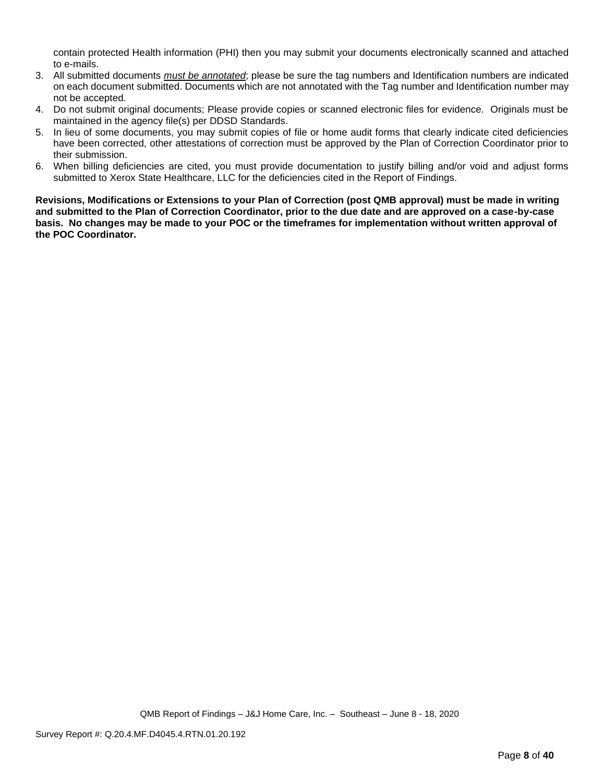contain protected Health information (PHI) then you may submit your documents electronically scanned and attached to e-mails.

- 3. All submitted documents *must be annotated*; please be sure the tag numbers and Identification numbers are indicated on each document submitted. Documents which are not annotated with the Tag number and Identification number may not be accepted.
- 4. Do not submit original documents; Please provide copies or scanned electronic files for evidence. Originals must be maintained in the agency file(s) per DDSD Standards.
- 5. In lieu of some documents, you may submit copies of file or home audit forms that clearly indicate cited deficiencies have been corrected, other attestations of correction must be approved by the Plan of Correction Coordinator prior to their submission.
- 6. When billing deficiencies are cited, you must provide documentation to justify billing and/or void and adjust forms submitted to Xerox State Healthcare, LLC for the deficiencies cited in the Report of Findings.

**Revisions, Modifications or Extensions to your Plan of Correction (post QMB approval) must be made in writing and submitted to the Plan of Correction Coordinator, prior to the due date and are approved on a case-by-case basis. No changes may be made to your POC or the timeframes for implementation without written approval of the POC Coordinator.**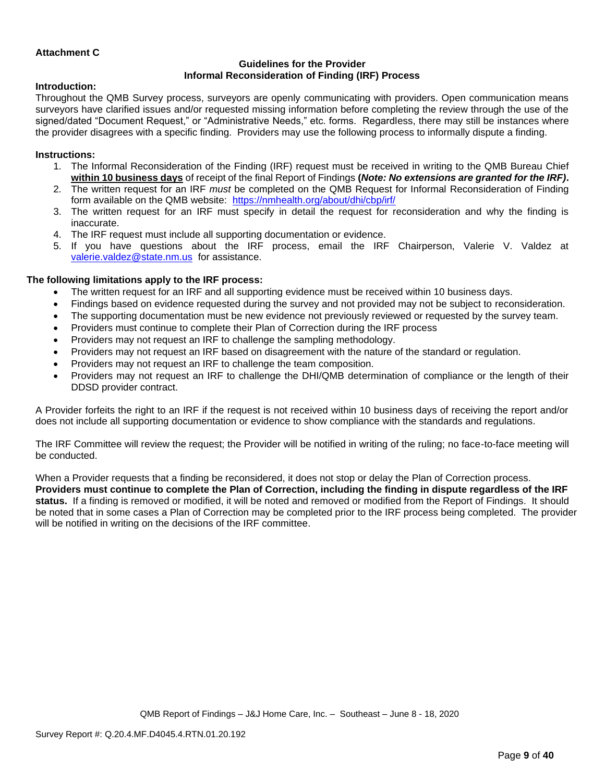#### **Attachment C**

#### **Guidelines for the Provider Informal Reconsideration of Finding (IRF) Process**

## **Introduction:**

Throughout the QMB Survey process, surveyors are openly communicating with providers. Open communication means surveyors have clarified issues and/or requested missing information before completing the review through the use of the signed/dated "Document Request," or "Administrative Needs," etc. forms. Regardless, there may still be instances where the provider disagrees with a specific finding. Providers may use the following process to informally dispute a finding.

## **Instructions:**

- 1. The Informal Reconsideration of the Finding (IRF) request must be received in writing to the QMB Bureau Chief **within 10 business days** of receipt of the final Report of Findings **(***Note: No extensions are granted for the IRF)***.**
- 2. The written request for an IRF *must* be completed on the QMB Request for Informal Reconsideration of Finding form available on the QMB website: <https://nmhealth.org/about/dhi/cbp/irf/>
- 3. The written request for an IRF must specify in detail the request for reconsideration and why the finding is inaccurate.
- 4. The IRF request must include all supporting documentation or evidence.
- 5. If you have questions about the IRF process, email the IRF Chairperson, Valerie V. Valdez at [valerie.valdez@state.nm.us](mailto:valerie.valdez@state.nm.us) for assistance.

## **The following limitations apply to the IRF process:**

- The written request for an IRF and all supporting evidence must be received within 10 business days.
- Findings based on evidence requested during the survey and not provided may not be subject to reconsideration.
- The supporting documentation must be new evidence not previously reviewed or requested by the survey team.
- Providers must continue to complete their Plan of Correction during the IRF process
- Providers may not request an IRF to challenge the sampling methodology.
- Providers may not request an IRF based on disagreement with the nature of the standard or regulation.
- Providers may not request an IRF to challenge the team composition.
- Providers may not request an IRF to challenge the DHI/QMB determination of compliance or the length of their DDSD provider contract.

A Provider forfeits the right to an IRF if the request is not received within 10 business days of receiving the report and/or does not include all supporting documentation or evidence to show compliance with the standards and regulations.

The IRF Committee will review the request; the Provider will be notified in writing of the ruling; no face-to-face meeting will be conducted.

When a Provider requests that a finding be reconsidered, it does not stop or delay the Plan of Correction process. **Providers must continue to complete the Plan of Correction, including the finding in dispute regardless of the IRF status.** If a finding is removed or modified, it will be noted and removed or modified from the Report of Findings. It should be noted that in some cases a Plan of Correction may be completed prior to the IRF process being completed. The provider will be notified in writing on the decisions of the IRF committee.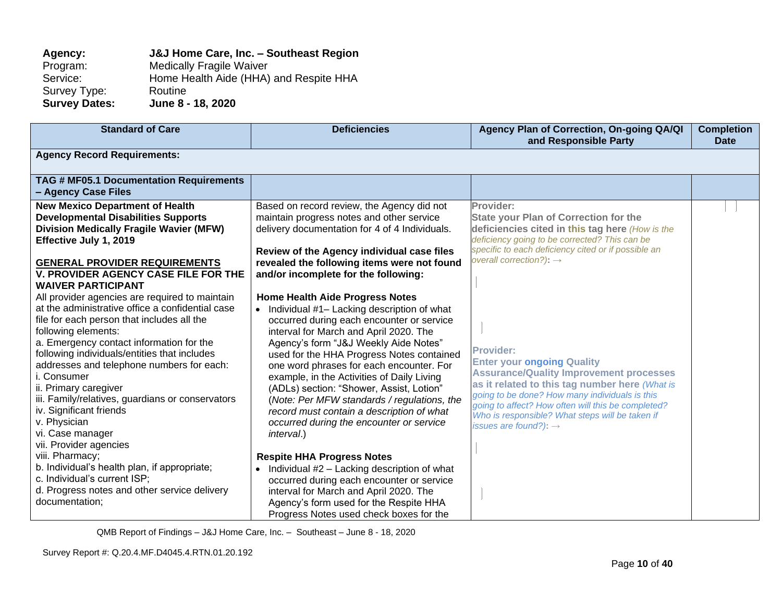# **Agency: J&J Home Care, Inc. – Southeast Region** Program: Medically Fragile Waiver<br>Service: Home Health Aide (HHA) Home Health Aide (HHA) and Respite HHA<br>Routine Survey Type:<br>Survey Dates: **Survey Dates: June 8 - 18, 2020**

| <b>Standard of Care</b>                                                                                                                                                                                                                                                                                                                                                                                                                                                                               | <b>Deficiencies</b>                                                                                                                                                                                                                                                                                                                                                                                                                                                                                                                                                  | Agency Plan of Correction, On-going QA/QI<br>and Responsible Party                                                                                                                                                                                                                                                                                        | <b>Completion</b><br><b>Date</b> |
|-------------------------------------------------------------------------------------------------------------------------------------------------------------------------------------------------------------------------------------------------------------------------------------------------------------------------------------------------------------------------------------------------------------------------------------------------------------------------------------------------------|----------------------------------------------------------------------------------------------------------------------------------------------------------------------------------------------------------------------------------------------------------------------------------------------------------------------------------------------------------------------------------------------------------------------------------------------------------------------------------------------------------------------------------------------------------------------|-----------------------------------------------------------------------------------------------------------------------------------------------------------------------------------------------------------------------------------------------------------------------------------------------------------------------------------------------------------|----------------------------------|
| <b>Agency Record Requirements:</b>                                                                                                                                                                                                                                                                                                                                                                                                                                                                    |                                                                                                                                                                                                                                                                                                                                                                                                                                                                                                                                                                      |                                                                                                                                                                                                                                                                                                                                                           |                                  |
| TAG # MF05.1 Documentation Requirements<br>- Agency Case Files                                                                                                                                                                                                                                                                                                                                                                                                                                        |                                                                                                                                                                                                                                                                                                                                                                                                                                                                                                                                                                      |                                                                                                                                                                                                                                                                                                                                                           |                                  |
| <b>New Mexico Department of Health</b><br><b>Developmental Disabilities Supports</b><br><b>Division Medically Fragile Wavier (MFW)</b><br>Effective July 1, 2019                                                                                                                                                                                                                                                                                                                                      | Based on record review, the Agency did not<br>maintain progress notes and other service<br>delivery documentation for 4 of 4 Individuals.                                                                                                                                                                                                                                                                                                                                                                                                                            | Provider:<br><b>State your Plan of Correction for the</b><br>deficiencies cited in this tag here (How is the<br>deficiency going to be corrected? This can be<br>specific to each deficiency cited or if possible an                                                                                                                                      |                                  |
| <b>GENERAL PROVIDER REQUIREMENTS</b><br><b>V. PROVIDER AGENCY CASE FILE FOR THE</b><br><b>WAIVER PARTICIPANT</b>                                                                                                                                                                                                                                                                                                                                                                                      | Review of the Agency individual case files<br>revealed the following items were not found<br>and/or incomplete for the following:                                                                                                                                                                                                                                                                                                                                                                                                                                    | overall correction?): $\rightarrow$                                                                                                                                                                                                                                                                                                                       |                                  |
| All provider agencies are required to maintain<br>at the administrative office a confidential case<br>file for each person that includes all the<br>following elements:<br>a. Emergency contact information for the<br>following individuals/entities that includes<br>addresses and telephone numbers for each:<br>i. Consumer<br>ii. Primary caregiver<br>iii. Family/relatives, guardians or conservators<br>iv. Significant friends<br>v. Physician<br>vi. Case manager<br>vii. Provider agencies | <b>Home Health Aide Progress Notes</b><br>Individual #1- Lacking description of what<br>occurred during each encounter or service<br>interval for March and April 2020. The<br>Agency's form "J&J Weekly Aide Notes"<br>used for the HHA Progress Notes contained<br>one word phrases for each encounter. For<br>example, in the Activities of Daily Living<br>(ADLs) section: "Shower, Assist, Lotion"<br>(Note: Per MFW standards / regulations, the<br>record must contain a description of what<br>occurred during the encounter or service<br><i>interval.)</i> | <b>Provider:</b><br><b>Enter your ongoing Quality</b><br><b>Assurance/Quality Improvement processes</b><br>as it related to this tag number here (What is<br>going to be done? How many individuals is this<br>going to affect? How often will this be completed?<br>Who is responsible? What steps will be taken if<br>issues are found?): $\rightarrow$ |                                  |
| viii. Pharmacy;<br>b. Individual's health plan, if appropriate;<br>c. Individual's current ISP;<br>d. Progress notes and other service delivery<br>documentation;                                                                                                                                                                                                                                                                                                                                     | <b>Respite HHA Progress Notes</b><br>Individual #2 - Lacking description of what<br>$\bullet$<br>occurred during each encounter or service<br>interval for March and April 2020. The<br>Agency's form used for the Respite HHA<br>Progress Notes used check boxes for the                                                                                                                                                                                                                                                                                            |                                                                                                                                                                                                                                                                                                                                                           |                                  |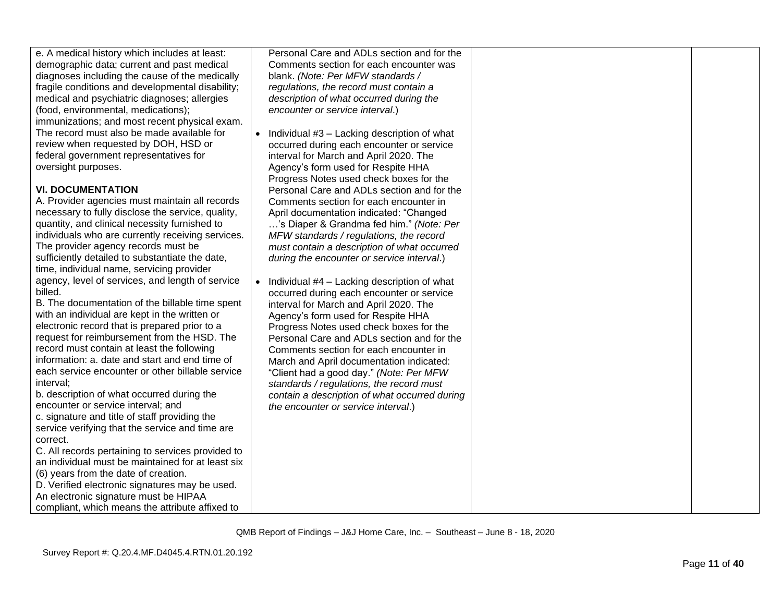| e. A medical history which includes at least:<br>demographic data; current and past medical<br>diagnoses including the cause of the medically<br>fragile conditions and developmental disability;<br>medical and psychiatric diagnoses; allergies<br>(food, environmental, medications);<br>immunizations; and most recent physical exam.<br>The record must also be made available for<br>review when requested by DOH, HSD or<br>federal government representatives for<br>oversight purposes.<br><b>VI. DOCUMENTATION</b><br>A. Provider agencies must maintain all records<br>necessary to fully disclose the service, quality,<br>quantity, and clinical necessity furnished to<br>individuals who are currently receiving services.<br>The provider agency records must be<br>sufficiently detailed to substantiate the date,<br>time, individual name, servicing provider<br>agency, level of services, and length of service<br>billed.<br>B. The documentation of the billable time spent<br>with an individual are kept in the written or<br>electronic record that is prepared prior to a<br>request for reimbursement from the HSD. The<br>record must contain at least the following<br>information: a. date and start and end time of<br>each service encounter or other billable service<br>interval;<br>b. description of what occurred during the<br>encounter or service interval; and<br>c. signature and title of staff providing the<br>service verifying that the service and time are<br>correct. | Personal Care and ADLs section and for the<br>Comments section for each encounter was<br>blank. (Note: Per MFW standards /<br>regulations, the record must contain a<br>description of what occurred during the<br>encounter or service interval.)<br>Individual #3 - Lacking description of what<br>occurred during each encounter or service<br>interval for March and April 2020. The<br>Agency's form used for Respite HHA<br>Progress Notes used check boxes for the<br>Personal Care and ADLs section and for the<br>Comments section for each encounter in<br>April documentation indicated: "Changed<br>'s Diaper & Grandma fed him." (Note: Per<br>MFW standards / regulations, the record<br>must contain a description of what occurred<br>during the encounter or service interval.)<br>Individual #4 - Lacking description of what<br>$\bullet$<br>occurred during each encounter or service<br>interval for March and April 2020. The<br>Agency's form used for Respite HHA<br>Progress Notes used check boxes for the<br>Personal Care and ADLs section and for the<br>Comments section for each encounter in<br>March and April documentation indicated:<br>"Client had a good day." (Note: Per MFW<br>standards / regulations, the record must<br>contain a description of what occurred during<br>the encounter or service interval.) |  |
|--------------------------------------------------------------------------------------------------------------------------------------------------------------------------------------------------------------------------------------------------------------------------------------------------------------------------------------------------------------------------------------------------------------------------------------------------------------------------------------------------------------------------------------------------------------------------------------------------------------------------------------------------------------------------------------------------------------------------------------------------------------------------------------------------------------------------------------------------------------------------------------------------------------------------------------------------------------------------------------------------------------------------------------------------------------------------------------------------------------------------------------------------------------------------------------------------------------------------------------------------------------------------------------------------------------------------------------------------------------------------------------------------------------------------------------------------------------------------------------------------------------------------|---------------------------------------------------------------------------------------------------------------------------------------------------------------------------------------------------------------------------------------------------------------------------------------------------------------------------------------------------------------------------------------------------------------------------------------------------------------------------------------------------------------------------------------------------------------------------------------------------------------------------------------------------------------------------------------------------------------------------------------------------------------------------------------------------------------------------------------------------------------------------------------------------------------------------------------------------------------------------------------------------------------------------------------------------------------------------------------------------------------------------------------------------------------------------------------------------------------------------------------------------------------------------------------------------------------------------------------------------------|--|
|                                                                                                                                                                                                                                                                                                                                                                                                                                                                                                                                                                                                                                                                                                                                                                                                                                                                                                                                                                                                                                                                                                                                                                                                                                                                                                                                                                                                                                                                                                                          |                                                                                                                                                                                                                                                                                                                                                                                                                                                                                                                                                                                                                                                                                                                                                                                                                                                                                                                                                                                                                                                                                                                                                                                                                                                                                                                                                         |  |
| C. All records pertaining to services provided to                                                                                                                                                                                                                                                                                                                                                                                                                                                                                                                                                                                                                                                                                                                                                                                                                                                                                                                                                                                                                                                                                                                                                                                                                                                                                                                                                                                                                                                                        |                                                                                                                                                                                                                                                                                                                                                                                                                                                                                                                                                                                                                                                                                                                                                                                                                                                                                                                                                                                                                                                                                                                                                                                                                                                                                                                                                         |  |
| an individual must be maintained for at least six<br>(6) years from the date of creation.<br>D. Verified electronic signatures may be used.                                                                                                                                                                                                                                                                                                                                                                                                                                                                                                                                                                                                                                                                                                                                                                                                                                                                                                                                                                                                                                                                                                                                                                                                                                                                                                                                                                              |                                                                                                                                                                                                                                                                                                                                                                                                                                                                                                                                                                                                                                                                                                                                                                                                                                                                                                                                                                                                                                                                                                                                                                                                                                                                                                                                                         |  |
| An electronic signature must be HIPAA<br>compliant, which means the attribute affixed to                                                                                                                                                                                                                                                                                                                                                                                                                                                                                                                                                                                                                                                                                                                                                                                                                                                                                                                                                                                                                                                                                                                                                                                                                                                                                                                                                                                                                                 |                                                                                                                                                                                                                                                                                                                                                                                                                                                                                                                                                                                                                                                                                                                                                                                                                                                                                                                                                                                                                                                                                                                                                                                                                                                                                                                                                         |  |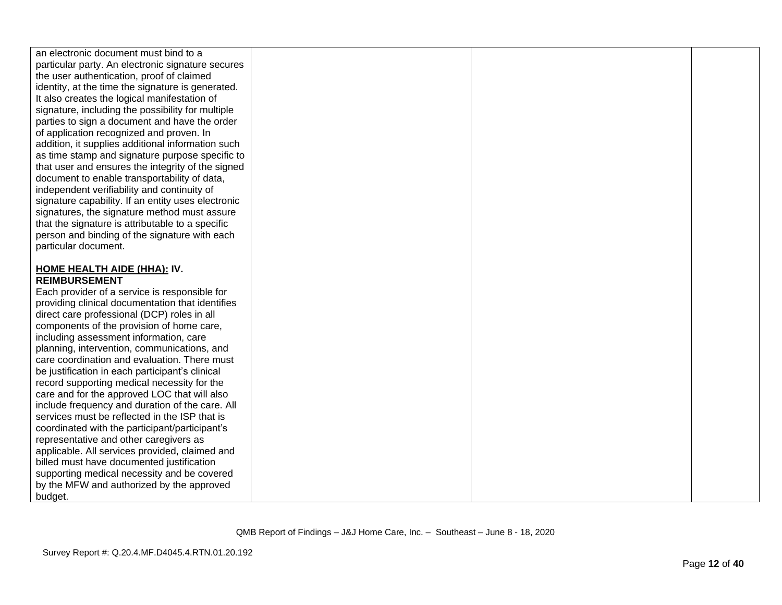| an electronic document must bind to a              |  |  |
|----------------------------------------------------|--|--|
| particular party. An electronic signature secures  |  |  |
| the user authentication, proof of claimed          |  |  |
| identity, at the time the signature is generated.  |  |  |
| It also creates the logical manifestation of       |  |  |
| signature, including the possibility for multiple  |  |  |
| parties to sign a document and have the order      |  |  |
| of application recognized and proven. In           |  |  |
| addition, it supplies additional information such  |  |  |
| as time stamp and signature purpose specific to    |  |  |
| that user and ensures the integrity of the signed  |  |  |
| document to enable transportability of data,       |  |  |
| independent verifiability and continuity of        |  |  |
| signature capability. If an entity uses electronic |  |  |
| signatures, the signature method must assure       |  |  |
| that the signature is attributable to a specific   |  |  |
| person and binding of the signature with each      |  |  |
| particular document.                               |  |  |
|                                                    |  |  |
| <b>HOME HEALTH AIDE (HHA): IV.</b>                 |  |  |
| <b>REIMBURSEMENT</b>                               |  |  |
| Each provider of a service is responsible for      |  |  |
| providing clinical documentation that identifies   |  |  |
| direct care professional (DCP) roles in all        |  |  |
| components of the provision of home care,          |  |  |
| including assessment information, care             |  |  |
| planning, intervention, communications, and        |  |  |
| care coordination and evaluation. There must       |  |  |
| be justification in each participant's clinical    |  |  |
| record supporting medical necessity for the        |  |  |
| care and for the approved LOC that will also       |  |  |
| include frequency and duration of the care. All    |  |  |
| services must be reflected in the ISP that is      |  |  |
| coordinated with the participant/participant's     |  |  |
| representative and other caregivers as             |  |  |
| applicable. All services provided, claimed and     |  |  |
| billed must have documented justification          |  |  |
| supporting medical necessity and be covered        |  |  |
| by the MFW and authorized by the approved          |  |  |
| budget.                                            |  |  |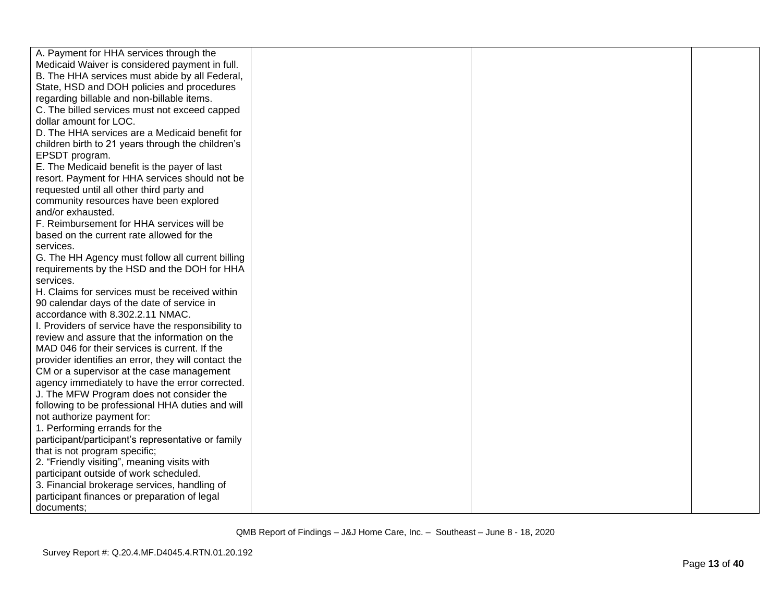| A. Payment for HHA services through the             |  |  |
|-----------------------------------------------------|--|--|
| Medicaid Waiver is considered payment in full.      |  |  |
| B. The HHA services must abide by all Federal,      |  |  |
| State, HSD and DOH policies and procedures          |  |  |
| regarding billable and non-billable items.          |  |  |
| C. The billed services must not exceed capped       |  |  |
| dollar amount for LOC.                              |  |  |
| D. The HHA services are a Medicaid benefit for      |  |  |
| children birth to 21 years through the children's   |  |  |
| EPSDT program.                                      |  |  |
| E. The Medicaid benefit is the payer of last        |  |  |
| resort. Payment for HHA services should not be      |  |  |
| requested until all other third party and           |  |  |
| community resources have been explored              |  |  |
| and/or exhausted.                                   |  |  |
| F. Reimbursement for HHA services will be           |  |  |
| based on the current rate allowed for the           |  |  |
| services.                                           |  |  |
| G. The HH Agency must follow all current billing    |  |  |
| requirements by the HSD and the DOH for HHA         |  |  |
| services.                                           |  |  |
| H. Claims for services must be received within      |  |  |
| 90 calendar days of the date of service in          |  |  |
| accordance with 8.302.2.11 NMAC.                    |  |  |
| I. Providers of service have the responsibility to  |  |  |
| review and assure that the information on the       |  |  |
| MAD 046 for their services is current. If the       |  |  |
| provider identifies an error, they will contact the |  |  |
| CM or a supervisor at the case management           |  |  |
| agency immediately to have the error corrected.     |  |  |
| J. The MFW Program does not consider the            |  |  |
| following to be professional HHA duties and will    |  |  |
| not authorize payment for:                          |  |  |
| 1. Performing errands for the                       |  |  |
| participant/participant's representative or family  |  |  |
| that is not program specific;                       |  |  |
| 2. "Friendly visiting", meaning visits with         |  |  |
| participant outside of work scheduled.              |  |  |
| 3. Financial brokerage services, handling of        |  |  |
| participant finances or preparation of legal        |  |  |
| documents;                                          |  |  |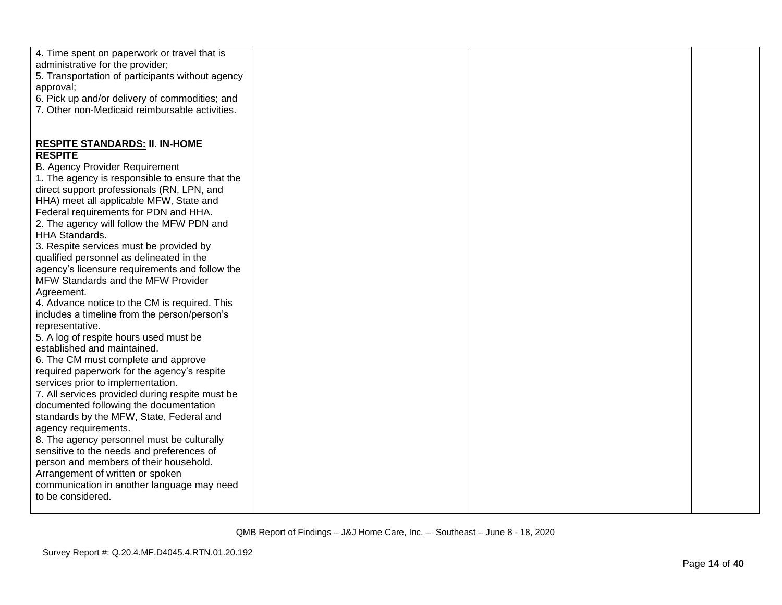| 4. Time spent on paperwork or travel that is     |  |  |
|--------------------------------------------------|--|--|
| administrative for the provider;                 |  |  |
| 5. Transportation of participants without agency |  |  |
| approval;                                        |  |  |
| 6. Pick up and/or delivery of commodities; and   |  |  |
| 7. Other non-Medicaid reimbursable activities.   |  |  |
|                                                  |  |  |
|                                                  |  |  |
|                                                  |  |  |
| <b>RESPITE STANDARDS: II. IN-HOME</b>            |  |  |
| <b>RESPITE</b>                                   |  |  |
| <b>B. Agency Provider Requirement</b>            |  |  |
| 1. The agency is responsible to ensure that the  |  |  |
| direct support professionals (RN, LPN, and       |  |  |
| HHA) meet all applicable MFW, State and          |  |  |
| Federal requirements for PDN and HHA.            |  |  |
| 2. The agency will follow the MFW PDN and        |  |  |
| <b>HHA Standards.</b>                            |  |  |
| 3. Respite services must be provided by          |  |  |
| qualified personnel as delineated in the         |  |  |
| agency's licensure requirements and follow the   |  |  |
| MFW Standards and the MFW Provider               |  |  |
| Agreement.                                       |  |  |
| 4. Advance notice to the CM is required. This    |  |  |
| includes a timeline from the person/person's     |  |  |
| representative.                                  |  |  |
| 5. A log of respite hours used must be           |  |  |
| established and maintained.                      |  |  |
| 6. The CM must complete and approve              |  |  |
| required paperwork for the agency's respite      |  |  |
| services prior to implementation.                |  |  |
| 7. All services provided during respite must be  |  |  |
| documented following the documentation           |  |  |
| standards by the MFW, State, Federal and         |  |  |
| agency requirements.                             |  |  |
| 8. The agency personnel must be culturally       |  |  |
| sensitive to the needs and preferences of        |  |  |
| person and members of their household.           |  |  |
|                                                  |  |  |
| Arrangement of written or spoken                 |  |  |
| communication in another language may need       |  |  |
| to be considered.                                |  |  |
|                                                  |  |  |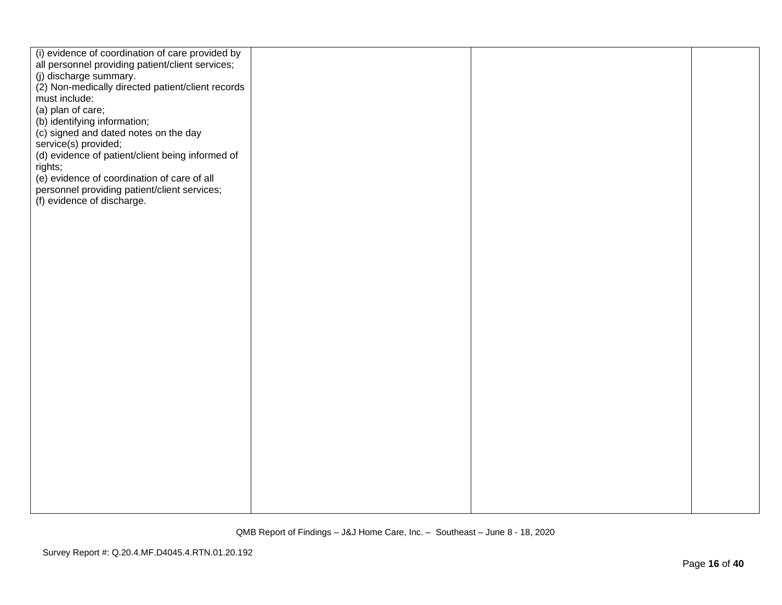| (i) evidence of coordination of care provided by<br>all personnel providing patient/client services;<br>(j) discharge summary.<br>(2) Non-medically directed patient/client records<br>must include: |  |  |
|------------------------------------------------------------------------------------------------------------------------------------------------------------------------------------------------------|--|--|
| (a) plan of care;<br>(b) identifying information;<br>(c) signed and dated notes on the day<br>service(s) provided;<br>(d) evidence of patient/client being informed of                               |  |  |
| rights;<br>(e) evidence of coordination of care of all<br>personnel providing patient/client services;<br>(f) evidence of discharge.                                                                 |  |  |
|                                                                                                                                                                                                      |  |  |
|                                                                                                                                                                                                      |  |  |
|                                                                                                                                                                                                      |  |  |
|                                                                                                                                                                                                      |  |  |
|                                                                                                                                                                                                      |  |  |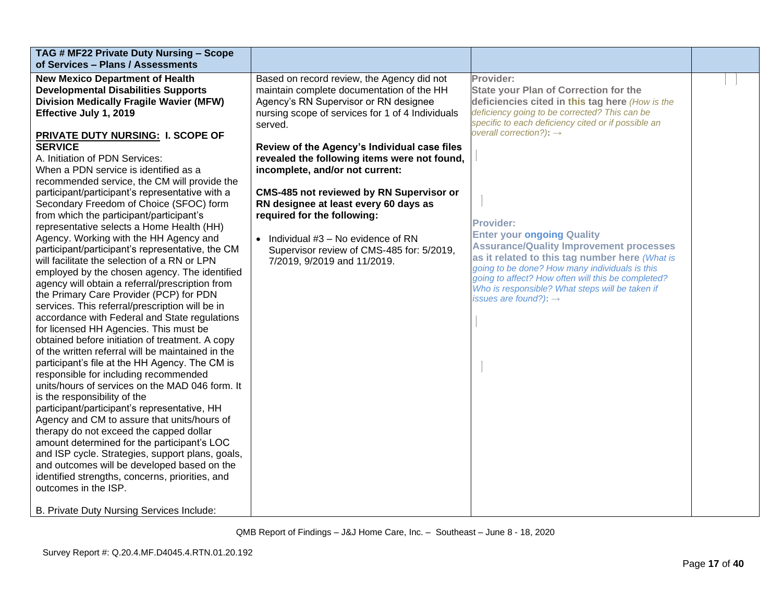| TAG # MF22 Private Duty Nursing - Scope<br>of Services - Plans / Assessments                                                                                                                                                                                                                                                                                                                                                                                                                                                                                                                                                                                                                                                                                                                                                                                                                                                                                                                                                                                                                                                                                                                                                                                                                                                                                                                                                                                                                                                                                                                                                                      |                                                                                                                                                                                                                                                                                                                                                                                                                                                                                                                                                                                    |                                                                                                                                                                                                                                                                                                                                                                                                                                                                                                                                                                                                                          |  |
|---------------------------------------------------------------------------------------------------------------------------------------------------------------------------------------------------------------------------------------------------------------------------------------------------------------------------------------------------------------------------------------------------------------------------------------------------------------------------------------------------------------------------------------------------------------------------------------------------------------------------------------------------------------------------------------------------------------------------------------------------------------------------------------------------------------------------------------------------------------------------------------------------------------------------------------------------------------------------------------------------------------------------------------------------------------------------------------------------------------------------------------------------------------------------------------------------------------------------------------------------------------------------------------------------------------------------------------------------------------------------------------------------------------------------------------------------------------------------------------------------------------------------------------------------------------------------------------------------------------------------------------------------|------------------------------------------------------------------------------------------------------------------------------------------------------------------------------------------------------------------------------------------------------------------------------------------------------------------------------------------------------------------------------------------------------------------------------------------------------------------------------------------------------------------------------------------------------------------------------------|--------------------------------------------------------------------------------------------------------------------------------------------------------------------------------------------------------------------------------------------------------------------------------------------------------------------------------------------------------------------------------------------------------------------------------------------------------------------------------------------------------------------------------------------------------------------------------------------------------------------------|--|
| <b>New Mexico Department of Health</b><br><b>Developmental Disabilities Supports</b><br><b>Division Medically Fragile Wavier (MFW)</b><br>Effective July 1, 2019<br>PRIVATE DUTY NURSING: I. SCOPE OF<br><b>SERVICE</b><br>A. Initiation of PDN Services:<br>When a PDN service is identified as a<br>recommended service, the CM will provide the<br>participant/participant's representative with a<br>Secondary Freedom of Choice (SFOC) form<br>from which the participant/participant's<br>representative selects a Home Health (HH)<br>Agency. Working with the HH Agency and<br>participant/participant's representative, the CM<br>will facilitate the selection of a RN or LPN<br>employed by the chosen agency. The identified<br>agency will obtain a referral/prescription from<br>the Primary Care Provider (PCP) for PDN<br>services. This referral/prescription will be in<br>accordance with Federal and State regulations<br>for licensed HH Agencies. This must be<br>obtained before initiation of treatment. A copy<br>of the written referral will be maintained in the<br>participant's file at the HH Agency. The CM is<br>responsible for including recommended<br>units/hours of services on the MAD 046 form. It<br>is the responsibility of the<br>participant/participant's representative, HH<br>Agency and CM to assure that units/hours of<br>therapy do not exceed the capped dollar<br>amount determined for the participant's LOC<br>and ISP cycle. Strategies, support plans, goals,<br>and outcomes will be developed based on the<br>identified strengths, concerns, priorities, and<br>outcomes in the ISP. | Based on record review, the Agency did not<br>maintain complete documentation of the HH<br>Agency's RN Supervisor or RN designee<br>nursing scope of services for 1 of 4 Individuals<br>served.<br>Review of the Agency's Individual case files<br>revealed the following items were not found,<br>incomplete, and/or not current:<br><b>CMS-485 not reviewed by RN Supervisor or</b><br>RN designee at least every 60 days as<br>required for the following:<br>• Individual $#3 - No$ evidence of RN<br>Supervisor review of CMS-485 for: 5/2019,<br>7/2019, 9/2019 and 11/2019. | Provider:<br><b>State your Plan of Correction for the</b><br>deficiencies cited in this tag here (How is the<br>deficiency going to be corrected? This can be<br>specific to each deficiency cited or if possible an<br>overall correction?): $\rightarrow$<br><b>Provider:</b><br><b>Enter your ongoing Quality</b><br><b>Assurance/Quality Improvement processes</b><br>as it related to this tag number here (What is<br>going to be done? How many individuals is this<br>going to affect? How often will this be completed?<br>Who is responsible? What steps will be taken if<br>issues are found?): $\rightarrow$ |  |
| B. Private Duty Nursing Services Include:                                                                                                                                                                                                                                                                                                                                                                                                                                                                                                                                                                                                                                                                                                                                                                                                                                                                                                                                                                                                                                                                                                                                                                                                                                                                                                                                                                                                                                                                                                                                                                                                         |                                                                                                                                                                                                                                                                                                                                                                                                                                                                                                                                                                                    |                                                                                                                                                                                                                                                                                                                                                                                                                                                                                                                                                                                                                          |  |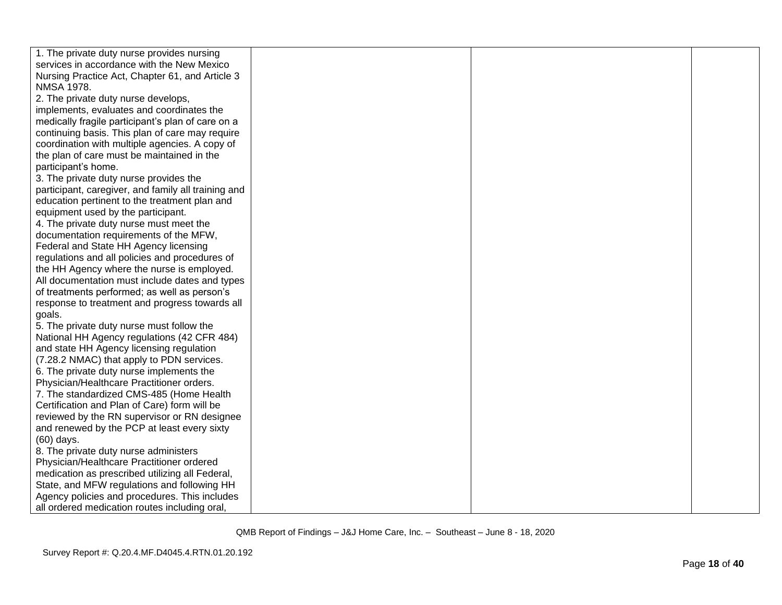| 1. The private duty nurse provides nursing          |  |  |
|-----------------------------------------------------|--|--|
| services in accordance with the New Mexico          |  |  |
| Nursing Practice Act, Chapter 61, and Article 3     |  |  |
| <b>NMSA 1978.</b>                                   |  |  |
| 2. The private duty nurse develops,                 |  |  |
| implements, evaluates and coordinates the           |  |  |
| medically fragile participant's plan of care on a   |  |  |
| continuing basis. This plan of care may require     |  |  |
| coordination with multiple agencies. A copy of      |  |  |
| the plan of care must be maintained in the          |  |  |
| participant's home.                                 |  |  |
| 3. The private duty nurse provides the              |  |  |
| participant, caregiver, and family all training and |  |  |
| education pertinent to the treatment plan and       |  |  |
| equipment used by the participant.                  |  |  |
| 4. The private duty nurse must meet the             |  |  |
| documentation requirements of the MFW,              |  |  |
| Federal and State HH Agency licensing               |  |  |
| regulations and all policies and procedures of      |  |  |
| the HH Agency where the nurse is employed.          |  |  |
| All documentation must include dates and types      |  |  |
| of treatments performed; as well as person's        |  |  |
| response to treatment and progress towards all      |  |  |
| goals.                                              |  |  |
| 5. The private duty nurse must follow the           |  |  |
| National HH Agency regulations (42 CFR 484)         |  |  |
| and state HH Agency licensing regulation            |  |  |
| (7.28.2 NMAC) that apply to PDN services.           |  |  |
| 6. The private duty nurse implements the            |  |  |
| Physician/Healthcare Practitioner orders.           |  |  |
| 7. The standardized CMS-485 (Home Health            |  |  |
| Certification and Plan of Care) form will be        |  |  |
| reviewed by the RN supervisor or RN designee        |  |  |
| and renewed by the PCP at least every sixty         |  |  |
| (60) days.                                          |  |  |
| 8. The private duty nurse administers               |  |  |
| Physician/Healthcare Practitioner ordered           |  |  |
| medication as prescribed utilizing all Federal,     |  |  |
| State, and MFW regulations and following HH         |  |  |
| Agency policies and procedures. This includes       |  |  |
| all ordered medication routes including oral,       |  |  |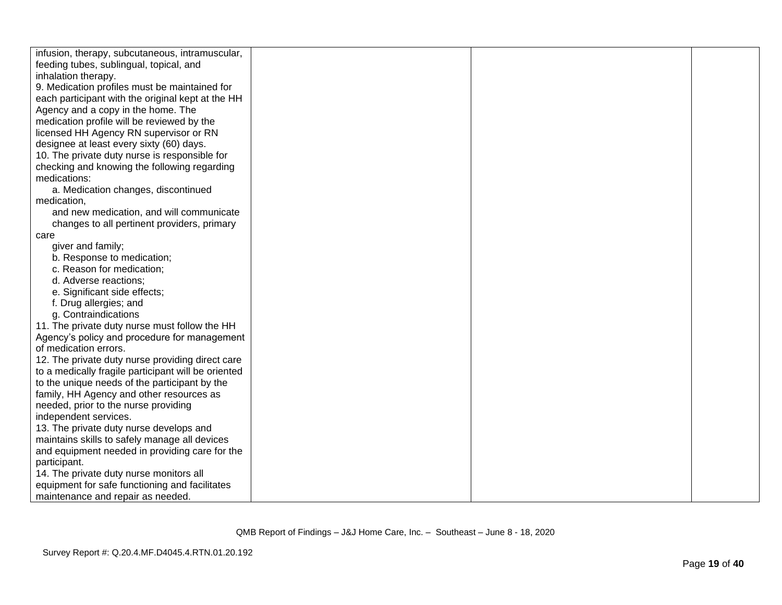| infusion, therapy, subcutaneous, intramuscular,     |  |  |
|-----------------------------------------------------|--|--|
| feeding tubes, sublingual, topical, and             |  |  |
| inhalation therapy.                                 |  |  |
| 9. Medication profiles must be maintained for       |  |  |
| each participant with the original kept at the HH   |  |  |
| Agency and a copy in the home. The                  |  |  |
| medication profile will be reviewed by the          |  |  |
| licensed HH Agency RN supervisor or RN              |  |  |
| designee at least every sixty (60) days.            |  |  |
| 10. The private duty nurse is responsible for       |  |  |
| checking and knowing the following regarding        |  |  |
| medications:                                        |  |  |
| a. Medication changes, discontinued                 |  |  |
| medication,                                         |  |  |
| and new medication, and will communicate            |  |  |
| changes to all pertinent providers, primary         |  |  |
| care                                                |  |  |
| giver and family;                                   |  |  |
| b. Response to medication;                          |  |  |
| c. Reason for medication;                           |  |  |
| d. Adverse reactions;                               |  |  |
| e. Significant side effects;                        |  |  |
| f. Drug allergies; and                              |  |  |
| g. Contraindications                                |  |  |
| 11. The private duty nurse must follow the HH       |  |  |
| Agency's policy and procedure for management        |  |  |
| of medication errors.                               |  |  |
| 12. The private duty nurse providing direct care    |  |  |
| to a medically fragile participant will be oriented |  |  |
| to the unique needs of the participant by the       |  |  |
| family, HH Agency and other resources as            |  |  |
| needed, prior to the nurse providing                |  |  |
| independent services.                               |  |  |
| 13. The private duty nurse develops and             |  |  |
| maintains skills to safely manage all devices       |  |  |
| and equipment needed in providing care for the      |  |  |
| participant.                                        |  |  |
| 14. The private duty nurse monitors all             |  |  |
| equipment for safe functioning and facilitates      |  |  |
| maintenance and repair as needed.                   |  |  |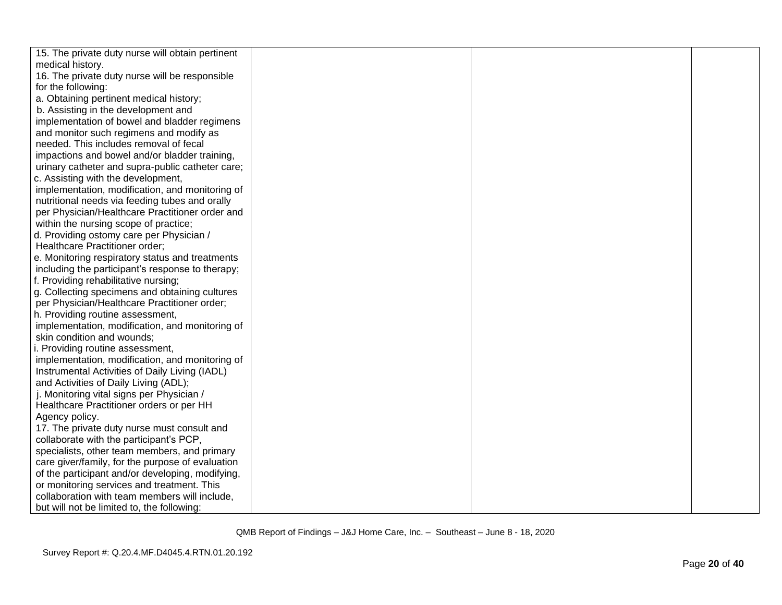| 15. The private duty nurse will obtain pertinent |  |  |
|--------------------------------------------------|--|--|
| medical history.                                 |  |  |
| 16. The private duty nurse will be responsible   |  |  |
| for the following:                               |  |  |
| a. Obtaining pertinent medical history;          |  |  |
| b. Assisting in the development and              |  |  |
| implementation of bowel and bladder regimens     |  |  |
| and monitor such regimens and modify as          |  |  |
| needed. This includes removal of fecal           |  |  |
| impactions and bowel and/or bladder training,    |  |  |
| urinary catheter and supra-public catheter care; |  |  |
| c. Assisting with the development,               |  |  |
| implementation, modification, and monitoring of  |  |  |
| nutritional needs via feeding tubes and orally   |  |  |
| per Physician/Healthcare Practitioner order and  |  |  |
| within the nursing scope of practice;            |  |  |
| d. Providing ostomy care per Physician /         |  |  |
| Healthcare Practitioner order;                   |  |  |
| e. Monitoring respiratory status and treatments  |  |  |
| including the participant's response to therapy; |  |  |
| f. Providing rehabilitative nursing;             |  |  |
| g. Collecting specimens and obtaining cultures   |  |  |
| per Physician/Healthcare Practitioner order;     |  |  |
| h. Providing routine assessment,                 |  |  |
| implementation, modification, and monitoring of  |  |  |
| skin condition and wounds;                       |  |  |
| i. Providing routine assessment,                 |  |  |
| implementation, modification, and monitoring of  |  |  |
| Instrumental Activities of Daily Living (IADL)   |  |  |
| and Activities of Daily Living (ADL);            |  |  |
| j. Monitoring vital signs per Physician /        |  |  |
| Healthcare Practitioner orders or per HH         |  |  |
| Agency policy.                                   |  |  |
| 17. The private duty nurse must consult and      |  |  |
| collaborate with the participant's PCP,          |  |  |
| specialists, other team members, and primary     |  |  |
| care giver/family, for the purpose of evaluation |  |  |
| of the participant and/or developing, modifying, |  |  |
| or monitoring services and treatment. This       |  |  |
| collaboration with team members will include,    |  |  |
| but will not be limited to, the following:       |  |  |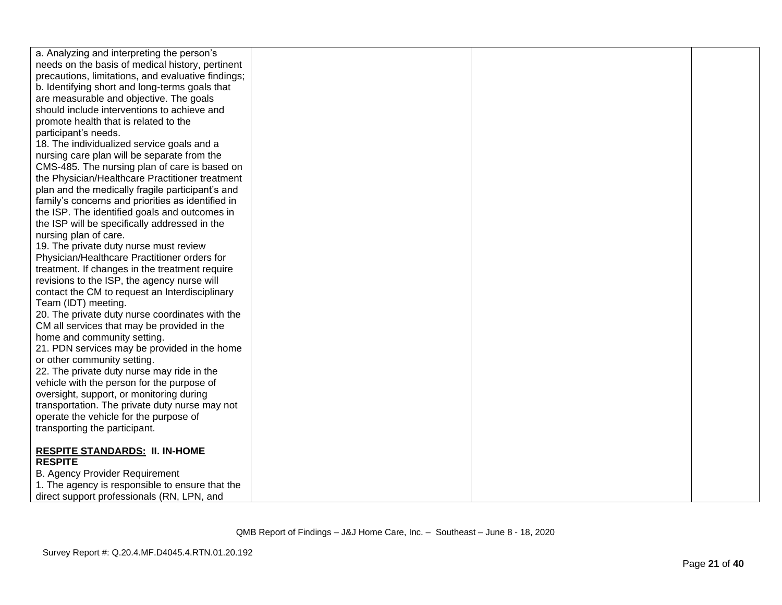| a. Analyzing and interpreting the person's              |  |  |
|---------------------------------------------------------|--|--|
| needs on the basis of medical history, pertinent        |  |  |
| precautions, limitations, and evaluative findings;      |  |  |
| b. Identifying short and long-terms goals that          |  |  |
| are measurable and objective. The goals                 |  |  |
| should include interventions to achieve and             |  |  |
| promote health that is related to the                   |  |  |
| participant's needs.                                    |  |  |
| 18. The individualized service goals and a              |  |  |
| nursing care plan will be separate from the             |  |  |
| CMS-485. The nursing plan of care is based on           |  |  |
| the Physician/Healthcare Practitioner treatment         |  |  |
| plan and the medically fragile participant's and        |  |  |
| family's concerns and priorities as identified in       |  |  |
| the ISP. The identified goals and outcomes in           |  |  |
| the ISP will be specifically addressed in the           |  |  |
| nursing plan of care.                                   |  |  |
| 19. The private duty nurse must review                  |  |  |
| Physician/Healthcare Practitioner orders for            |  |  |
| treatment. If changes in the treatment require          |  |  |
| revisions to the ISP, the agency nurse will             |  |  |
| contact the CM to request an Interdisciplinary          |  |  |
| Team (IDT) meeting.                                     |  |  |
| 20. The private duty nurse coordinates with the         |  |  |
| CM all services that may be provided in the             |  |  |
| home and community setting.                             |  |  |
| 21. PDN services may be provided in the home            |  |  |
| or other community setting.                             |  |  |
| 22. The private duty nurse may ride in the              |  |  |
| vehicle with the person for the purpose of              |  |  |
| oversight, support, or monitoring during                |  |  |
| transportation. The private duty nurse may not          |  |  |
| operate the vehicle for the purpose of                  |  |  |
| transporting the participant.                           |  |  |
|                                                         |  |  |
| <b>RESPITE STANDARDS: II. IN-HOME</b><br><b>RESPITE</b> |  |  |
| <b>B. Agency Provider Requirement</b>                   |  |  |
| 1. The agency is responsible to ensure that the         |  |  |
| direct support professionals (RN, LPN, and              |  |  |
|                                                         |  |  |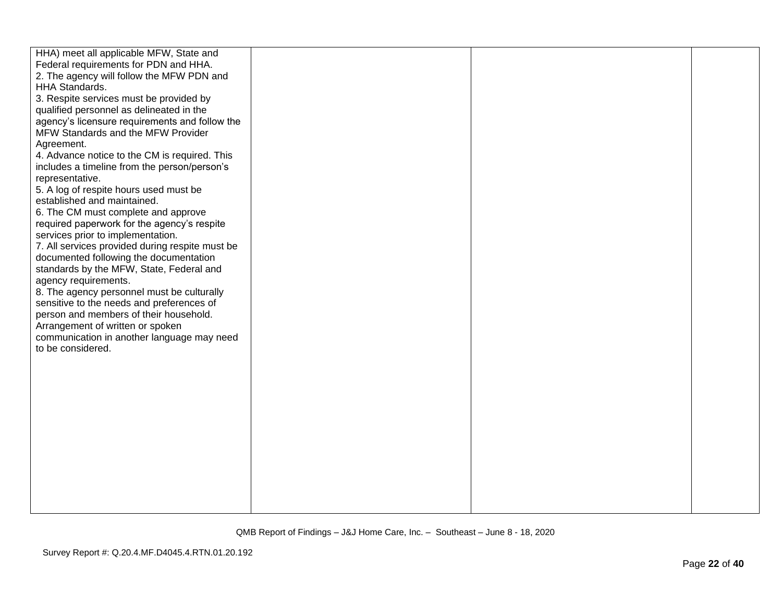| HHA) meet all applicable MFW, State and<br>Federal requirements for PDN and HHA.<br>2. The agency will follow the MFW PDN and<br>HHA Standards.<br>3. Respite services must be provided by<br>qualified personnel as delineated in the<br>agency's licensure requirements and follow the<br>MFW Standards and the MFW Provider |
|--------------------------------------------------------------------------------------------------------------------------------------------------------------------------------------------------------------------------------------------------------------------------------------------------------------------------------|
|                                                                                                                                                                                                                                                                                                                                |
|                                                                                                                                                                                                                                                                                                                                |
|                                                                                                                                                                                                                                                                                                                                |
|                                                                                                                                                                                                                                                                                                                                |
|                                                                                                                                                                                                                                                                                                                                |
|                                                                                                                                                                                                                                                                                                                                |
|                                                                                                                                                                                                                                                                                                                                |
| Agreement.                                                                                                                                                                                                                                                                                                                     |
| 4. Advance notice to the CM is required. This                                                                                                                                                                                                                                                                                  |
| includes a timeline from the person/person's                                                                                                                                                                                                                                                                                   |
| representative.                                                                                                                                                                                                                                                                                                                |
| 5. A log of respite hours used must be                                                                                                                                                                                                                                                                                         |
| established and maintained.                                                                                                                                                                                                                                                                                                    |
| 6. The CM must complete and approve                                                                                                                                                                                                                                                                                            |
| required paperwork for the agency's respite                                                                                                                                                                                                                                                                                    |
| services prior to implementation.                                                                                                                                                                                                                                                                                              |
| 7. All services provided during respite must be                                                                                                                                                                                                                                                                                |
| documented following the documentation                                                                                                                                                                                                                                                                                         |
| standards by the MFW, State, Federal and                                                                                                                                                                                                                                                                                       |
| agency requirements.                                                                                                                                                                                                                                                                                                           |
| 8. The agency personnel must be culturally                                                                                                                                                                                                                                                                                     |
| sensitive to the needs and preferences of                                                                                                                                                                                                                                                                                      |
| person and members of their household.                                                                                                                                                                                                                                                                                         |
| Arrangement of written or spoken                                                                                                                                                                                                                                                                                               |
| communication in another language may need                                                                                                                                                                                                                                                                                     |
| to be considered.                                                                                                                                                                                                                                                                                                              |
|                                                                                                                                                                                                                                                                                                                                |
|                                                                                                                                                                                                                                                                                                                                |
|                                                                                                                                                                                                                                                                                                                                |
|                                                                                                                                                                                                                                                                                                                                |
|                                                                                                                                                                                                                                                                                                                                |
|                                                                                                                                                                                                                                                                                                                                |
|                                                                                                                                                                                                                                                                                                                                |
|                                                                                                                                                                                                                                                                                                                                |
|                                                                                                                                                                                                                                                                                                                                |
|                                                                                                                                                                                                                                                                                                                                |
|                                                                                                                                                                                                                                                                                                                                |
|                                                                                                                                                                                                                                                                                                                                |
|                                                                                                                                                                                                                                                                                                                                |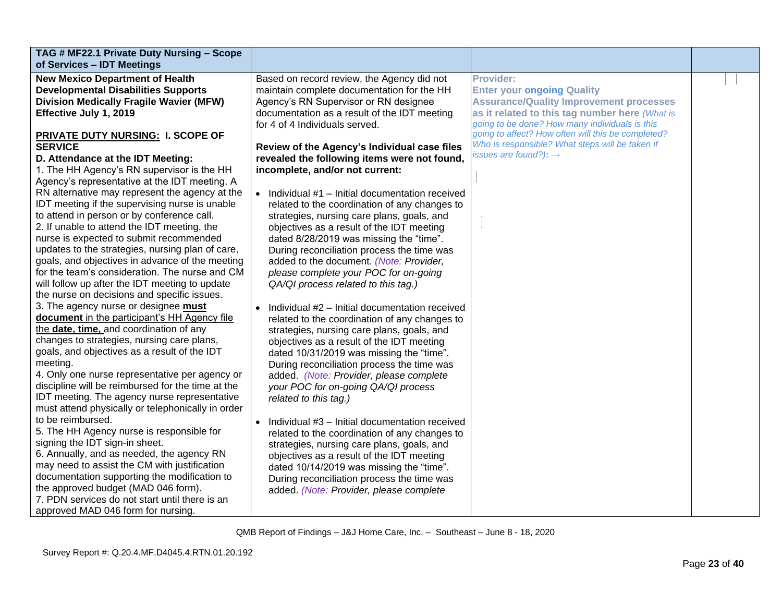| TAG # MF22.1 Private Duty Nursing - Scope<br>of Services - IDT Meetings                   |                                                |                                                    |  |
|-------------------------------------------------------------------------------------------|------------------------------------------------|----------------------------------------------------|--|
| <b>New Mexico Department of Health</b>                                                    | Based on record review, the Agency did not     | <b>Provider:</b>                                   |  |
| <b>Developmental Disabilities Supports</b>                                                | maintain complete documentation for the HH     | <b>Enter your ongoing Quality</b>                  |  |
| <b>Division Medically Fragile Wavier (MFW)</b>                                            | Agency's RN Supervisor or RN designee          | <b>Assurance/Quality Improvement processes</b>     |  |
| Effective July 1, 2019                                                                    | documentation as a result of the IDT meeting   | as it related to this tag number here (What is     |  |
|                                                                                           | for 4 of 4 Individuals served.                 | going to be done? How many individuals is this     |  |
| <b>PRIVATE DUTY NURSING: I. SCOPE OF</b>                                                  |                                                | going to affect? How often will this be completed? |  |
| <b>SERVICE</b>                                                                            | Review of the Agency's Individual case files   | Who is responsible? What steps will be taken if    |  |
| D. Attendance at the IDT Meeting:                                                         | revealed the following items were not found,   | issues are found?): $\rightarrow$                  |  |
| 1. The HH Agency's RN supervisor is the HH                                                | incomplete, and/or not current:                |                                                    |  |
| Agency's representative at the IDT meeting. A                                             |                                                |                                                    |  |
| RN alternative may represent the agency at the                                            | Individual #1 - Initial documentation received |                                                    |  |
| IDT meeting if the supervising nurse is unable                                            | related to the coordination of any changes to  |                                                    |  |
| to attend in person or by conference call.                                                | strategies, nursing care plans, goals, and     |                                                    |  |
| 2. If unable to attend the IDT meeting, the                                               | objectives as a result of the IDT meeting      |                                                    |  |
| nurse is expected to submit recommended                                                   | dated 8/28/2019 was missing the "time".        |                                                    |  |
| updates to the strategies, nursing plan of care,                                          | During reconciliation process the time was     |                                                    |  |
| goals, and objectives in advance of the meeting                                           | added to the document. (Note: Provider,        |                                                    |  |
| for the team's consideration. The nurse and CM                                            | please complete your POC for on-going          |                                                    |  |
| will follow up after the IDT meeting to update                                            | QA/QI process related to this tag.)            |                                                    |  |
| the nurse on decisions and specific issues.                                               |                                                |                                                    |  |
| 3. The agency nurse or designee must                                                      | Individual #2 - Initial documentation received |                                                    |  |
| document in the participant's HH Agency file                                              | related to the coordination of any changes to  |                                                    |  |
| the date, time, and coordination of any                                                   | strategies, nursing care plans, goals, and     |                                                    |  |
| changes to strategies, nursing care plans,                                                | objectives as a result of the IDT meeting      |                                                    |  |
| goals, and objectives as a result of the IDT                                              | dated 10/31/2019 was missing the "time".       |                                                    |  |
| meeting.                                                                                  | During reconciliation process the time was     |                                                    |  |
| 4. Only one nurse representative per agency or                                            | added. (Note: Provider, please complete        |                                                    |  |
| discipline will be reimbursed for the time at the                                         | your POC for on-going QA/QI process            |                                                    |  |
| IDT meeting. The agency nurse representative                                              | related to this tag.)                          |                                                    |  |
| must attend physically or telephonically in order                                         |                                                |                                                    |  |
| to be reimbursed.                                                                         | Individual #3 - Initial documentation received |                                                    |  |
| 5. The HH Agency nurse is responsible for                                                 | related to the coordination of any changes to  |                                                    |  |
| signing the IDT sign-in sheet.                                                            | strategies, nursing care plans, goals, and     |                                                    |  |
| 6. Annually, and as needed, the agency RN<br>may need to assist the CM with justification | objectives as a result of the IDT meeting      |                                                    |  |
| documentation supporting the modification to                                              | dated 10/14/2019 was missing the "time".       |                                                    |  |
| the approved budget (MAD 046 form).                                                       | During reconciliation process the time was     |                                                    |  |
| 7. PDN services do not start until there is an                                            | added. (Note: Provider, please complete        |                                                    |  |
| approved MAD 046 form for nursing.                                                        |                                                |                                                    |  |
|                                                                                           |                                                |                                                    |  |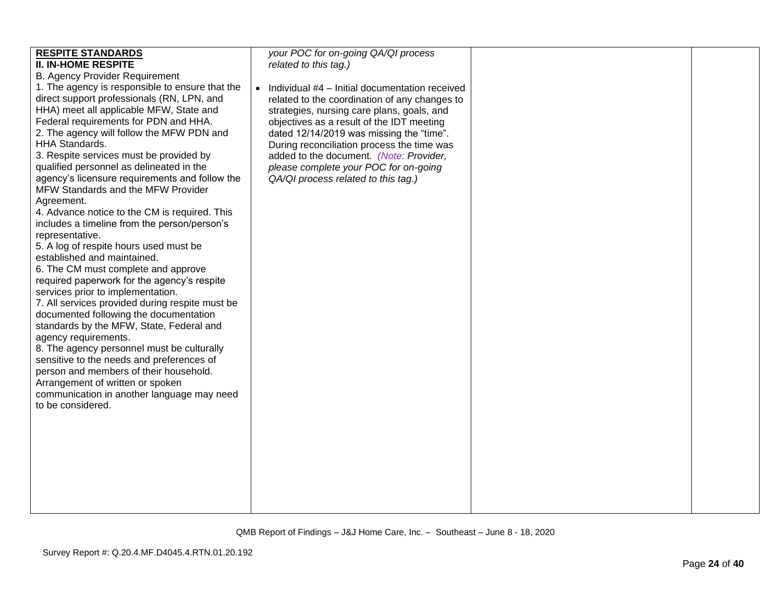| <b>RESPITE STANDARDS</b><br><b>II. IN-HOME RESPITE</b><br><b>B. Agency Provider Requirement</b><br>1. The agency is responsible to ensure that the<br>direct support professionals (RN, LPN, and<br>HHA) meet all applicable MFW, State and<br>Federal requirements for PDN and HHA.<br>2. The agency will follow the MFW PDN and<br>HHA Standards.<br>3. Respite services must be provided by<br>qualified personnel as delineated in the<br>agency's licensure requirements and follow the<br>MFW Standards and the MFW Provider<br>Agreement.<br>4. Advance notice to the CM is required. This<br>includes a timeline from the person/person's<br>representative.<br>5. A log of respite hours used must be<br>established and maintained.<br>6. The CM must complete and approve<br>required paperwork for the agency's respite<br>services prior to implementation.<br>7. All services provided during respite must be<br>documented following the documentation<br>standards by the MFW, State, Federal and<br>agency requirements.<br>8. The agency personnel must be culturally<br>sensitive to the needs and preferences of<br>person and members of their household.<br>Arrangement of written or spoken<br>communication in another language may need<br>to be considered. | your POC for on-going QA/QI process<br>related to this tag.)<br>Individual #4 - Initial documentation received<br>$\bullet$<br>related to the coordination of any changes to<br>strategies, nursing care plans, goals, and<br>objectives as a result of the IDT meeting<br>dated 12/14/2019 was missing the "time".<br>During reconciliation process the time was<br>added to the document. (Note: Provider,<br>please complete your POC for on-going<br>QA/QI process related to this tag.) |  |  |
|---------------------------------------------------------------------------------------------------------------------------------------------------------------------------------------------------------------------------------------------------------------------------------------------------------------------------------------------------------------------------------------------------------------------------------------------------------------------------------------------------------------------------------------------------------------------------------------------------------------------------------------------------------------------------------------------------------------------------------------------------------------------------------------------------------------------------------------------------------------------------------------------------------------------------------------------------------------------------------------------------------------------------------------------------------------------------------------------------------------------------------------------------------------------------------------------------------------------------------------------------------------------------------------|----------------------------------------------------------------------------------------------------------------------------------------------------------------------------------------------------------------------------------------------------------------------------------------------------------------------------------------------------------------------------------------------------------------------------------------------------------------------------------------------|--|--|
|---------------------------------------------------------------------------------------------------------------------------------------------------------------------------------------------------------------------------------------------------------------------------------------------------------------------------------------------------------------------------------------------------------------------------------------------------------------------------------------------------------------------------------------------------------------------------------------------------------------------------------------------------------------------------------------------------------------------------------------------------------------------------------------------------------------------------------------------------------------------------------------------------------------------------------------------------------------------------------------------------------------------------------------------------------------------------------------------------------------------------------------------------------------------------------------------------------------------------------------------------------------------------------------|----------------------------------------------------------------------------------------------------------------------------------------------------------------------------------------------------------------------------------------------------------------------------------------------------------------------------------------------------------------------------------------------------------------------------------------------------------------------------------------------|--|--|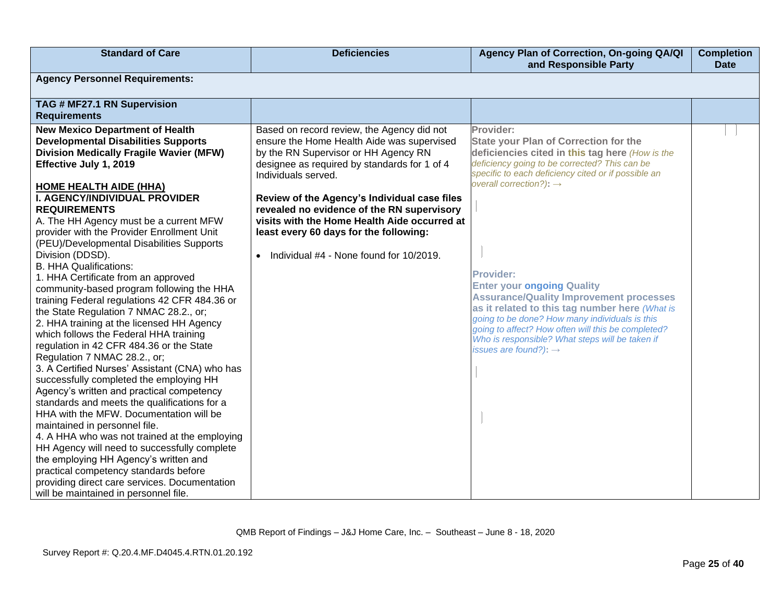| <b>Standard of Care</b>                                                                                                                                                                                                                                                                                                                                                                                                                                                                                                                                                                                                                                                                                                                                                                                                                                                                                                                                                                                                                                                                                                                                                                                                                                                                                                                                  | <b>Deficiencies</b>                                                                                                                                                                                                                                                                                                                                                                                                                                     | Agency Plan of Correction, On-going QA/QI<br>and Responsible Party                                                                                                                                                                                                                                                                                                                                                                                                                                                                                                                                                       | <b>Completion</b><br><b>Date</b> |  |
|----------------------------------------------------------------------------------------------------------------------------------------------------------------------------------------------------------------------------------------------------------------------------------------------------------------------------------------------------------------------------------------------------------------------------------------------------------------------------------------------------------------------------------------------------------------------------------------------------------------------------------------------------------------------------------------------------------------------------------------------------------------------------------------------------------------------------------------------------------------------------------------------------------------------------------------------------------------------------------------------------------------------------------------------------------------------------------------------------------------------------------------------------------------------------------------------------------------------------------------------------------------------------------------------------------------------------------------------------------|---------------------------------------------------------------------------------------------------------------------------------------------------------------------------------------------------------------------------------------------------------------------------------------------------------------------------------------------------------------------------------------------------------------------------------------------------------|--------------------------------------------------------------------------------------------------------------------------------------------------------------------------------------------------------------------------------------------------------------------------------------------------------------------------------------------------------------------------------------------------------------------------------------------------------------------------------------------------------------------------------------------------------------------------------------------------------------------------|----------------------------------|--|
| <b>Agency Personnel Requirements:</b>                                                                                                                                                                                                                                                                                                                                                                                                                                                                                                                                                                                                                                                                                                                                                                                                                                                                                                                                                                                                                                                                                                                                                                                                                                                                                                                    |                                                                                                                                                                                                                                                                                                                                                                                                                                                         |                                                                                                                                                                                                                                                                                                                                                                                                                                                                                                                                                                                                                          |                                  |  |
| TAG # MF27.1 RN Supervision<br><b>Requirements</b>                                                                                                                                                                                                                                                                                                                                                                                                                                                                                                                                                                                                                                                                                                                                                                                                                                                                                                                                                                                                                                                                                                                                                                                                                                                                                                       |                                                                                                                                                                                                                                                                                                                                                                                                                                                         |                                                                                                                                                                                                                                                                                                                                                                                                                                                                                                                                                                                                                          |                                  |  |
| <b>New Mexico Department of Health</b><br><b>Developmental Disabilities Supports</b><br><b>Division Medically Fragile Wavier (MFW)</b><br>Effective July 1, 2019<br><b>HOME HEALTH AIDE (HHA)</b><br>I. AGENCY/INDIVIDUAL PROVIDER<br><b>REQUIREMENTS</b><br>A. The HH Agency must be a current MFW<br>provider with the Provider Enrollment Unit<br>(PEU)/Developmental Disabilities Supports<br>Division (DDSD).<br><b>B. HHA Qualifications:</b><br>1. HHA Certificate from an approved<br>community-based program following the HHA<br>training Federal regulations 42 CFR 484.36 or<br>the State Regulation 7 NMAC 28.2., or;<br>2. HHA training at the licensed HH Agency<br>which follows the Federal HHA training<br>regulation in 42 CFR 484.36 or the State<br>Regulation 7 NMAC 28.2., or;<br>3. A Certified Nurses' Assistant (CNA) who has<br>successfully completed the employing HH<br>Agency's written and practical competency<br>standards and meets the qualifications for a<br>HHA with the MFW. Documentation will be<br>maintained in personnel file.<br>4. A HHA who was not trained at the employing<br>HH Agency will need to successfully complete<br>the employing HH Agency's written and<br>practical competency standards before<br>providing direct care services. Documentation<br>will be maintained in personnel file. | Based on record review, the Agency did not<br>ensure the Home Health Aide was supervised<br>by the RN Supervisor or HH Agency RN<br>designee as required by standards for 1 of 4<br>Individuals served.<br>Review of the Agency's Individual case files<br>revealed no evidence of the RN supervisory<br>visits with the Home Health Aide occurred at<br>least every 60 days for the following:<br>Individual #4 - None found for 10/2019.<br>$\bullet$ | Provider:<br><b>State your Plan of Correction for the</b><br>deficiencies cited in this tag here (How is the<br>deficiency going to be corrected? This can be<br>specific to each deficiency cited or if possible an<br>overall correction?): $\rightarrow$<br><b>Provider:</b><br><b>Enter your ongoing Quality</b><br><b>Assurance/Quality Improvement processes</b><br>as it related to this tag number here (What is<br>going to be done? How many individuals is this<br>going to affect? How often will this be completed?<br>Who is responsible? What steps will be taken if<br>issues are found?): $\rightarrow$ |                                  |  |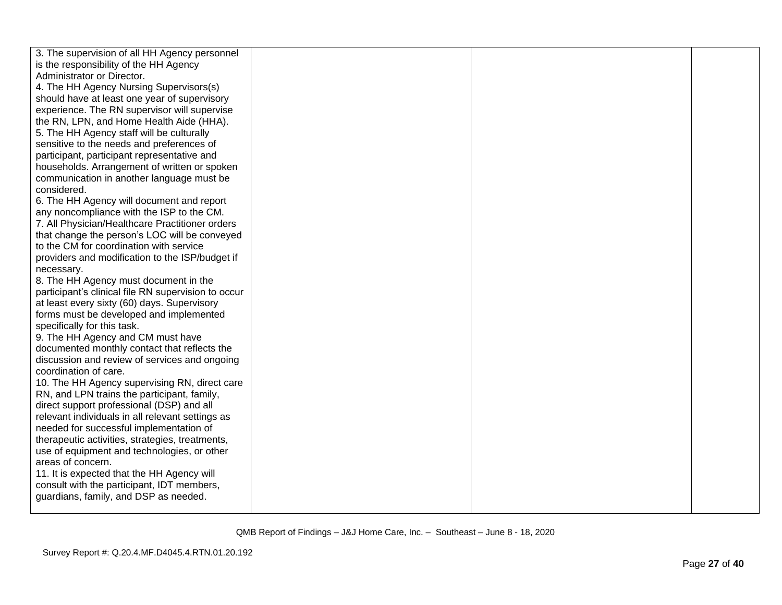| 3. The supervision of all HH Agency personnel       |  |  |
|-----------------------------------------------------|--|--|
| is the responsibility of the HH Agency              |  |  |
| Administrator or Director.                          |  |  |
| 4. The HH Agency Nursing Supervisors(s)             |  |  |
| should have at least one year of supervisory        |  |  |
| experience. The RN supervisor will supervise        |  |  |
| the RN, LPN, and Home Health Aide (HHA).            |  |  |
| 5. The HH Agency staff will be culturally           |  |  |
| sensitive to the needs and preferences of           |  |  |
| participant, participant representative and         |  |  |
| households. Arrangement of written or spoken        |  |  |
| communication in another language must be           |  |  |
| considered.                                         |  |  |
| 6. The HH Agency will document and report           |  |  |
| any noncompliance with the ISP to the CM.           |  |  |
| 7. All Physician/Healthcare Practitioner orders     |  |  |
| that change the person's LOC will be conveyed       |  |  |
| to the CM for coordination with service             |  |  |
| providers and modification to the ISP/budget if     |  |  |
| necessary.                                          |  |  |
| 8. The HH Agency must document in the               |  |  |
| participant's clinical file RN supervision to occur |  |  |
| at least every sixty (60) days. Supervisory         |  |  |
| forms must be developed and implemented             |  |  |
| specifically for this task.                         |  |  |
| 9. The HH Agency and CM must have                   |  |  |
| documented monthly contact that reflects the        |  |  |
| discussion and review of services and ongoing       |  |  |
| coordination of care.                               |  |  |
| 10. The HH Agency supervising RN, direct care       |  |  |
| RN, and LPN trains the participant, family,         |  |  |
| direct support professional (DSP) and all           |  |  |
| relevant individuals in all relevant settings as    |  |  |
| needed for successful implementation of             |  |  |
| therapeutic activities, strategies, treatments,     |  |  |
| use of equipment and technologies, or other         |  |  |
| areas of concern.                                   |  |  |
| 11. It is expected that the HH Agency will          |  |  |
| consult with the participant, IDT members,          |  |  |
| guardians, family, and DSP as needed.               |  |  |
|                                                     |  |  |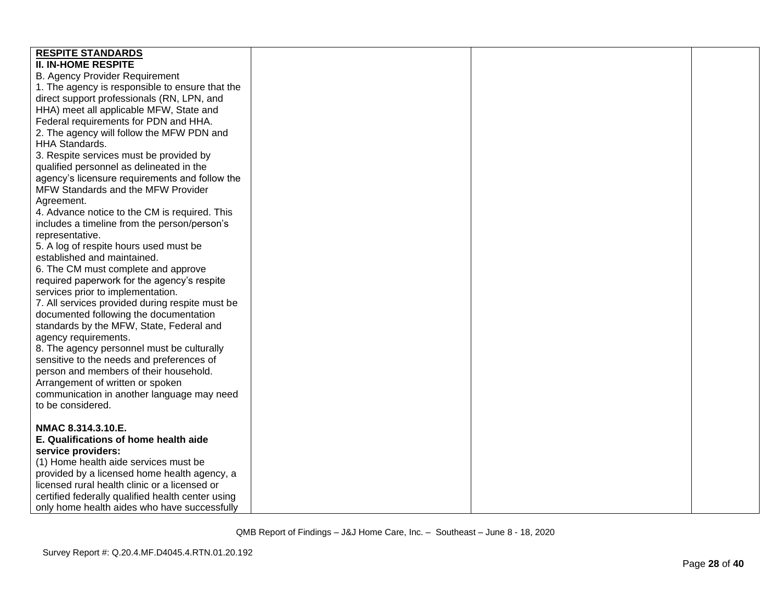| <b>RESPITE STANDARDS</b>                          |  |  |
|---------------------------------------------------|--|--|
| <b>II. IN-HOME RESPITE</b>                        |  |  |
| <b>B. Agency Provider Requirement</b>             |  |  |
|                                                   |  |  |
| 1. The agency is responsible to ensure that the   |  |  |
| direct support professionals (RN, LPN, and        |  |  |
| HHA) meet all applicable MFW, State and           |  |  |
| Federal requirements for PDN and HHA.             |  |  |
| 2. The agency will follow the MFW PDN and         |  |  |
| <b>HHA Standards.</b>                             |  |  |
| 3. Respite services must be provided by           |  |  |
| qualified personnel as delineated in the          |  |  |
| agency's licensure requirements and follow the    |  |  |
| MFW Standards and the MFW Provider                |  |  |
| Agreement.                                        |  |  |
| 4. Advance notice to the CM is required. This     |  |  |
| includes a timeline from the person/person's      |  |  |
| representative.                                   |  |  |
| 5. A log of respite hours used must be            |  |  |
| established and maintained.                       |  |  |
| 6. The CM must complete and approve               |  |  |
| required paperwork for the agency's respite       |  |  |
| services prior to implementation.                 |  |  |
| 7. All services provided during respite must be   |  |  |
| documented following the documentation            |  |  |
| standards by the MFW, State, Federal and          |  |  |
| agency requirements.                              |  |  |
| 8. The agency personnel must be culturally        |  |  |
| sensitive to the needs and preferences of         |  |  |
| person and members of their household.            |  |  |
| Arrangement of written or spoken                  |  |  |
| communication in another language may need        |  |  |
| to be considered.                                 |  |  |
|                                                   |  |  |
| NMAC 8.314.3.10.E.                                |  |  |
| E. Qualifications of home health aide             |  |  |
| service providers:                                |  |  |
| (1) Home health aide services must be             |  |  |
| provided by a licensed home health agency, a      |  |  |
| licensed rural health clinic or a licensed or     |  |  |
| certified federally qualified health center using |  |  |
| only home health aides who have successfully      |  |  |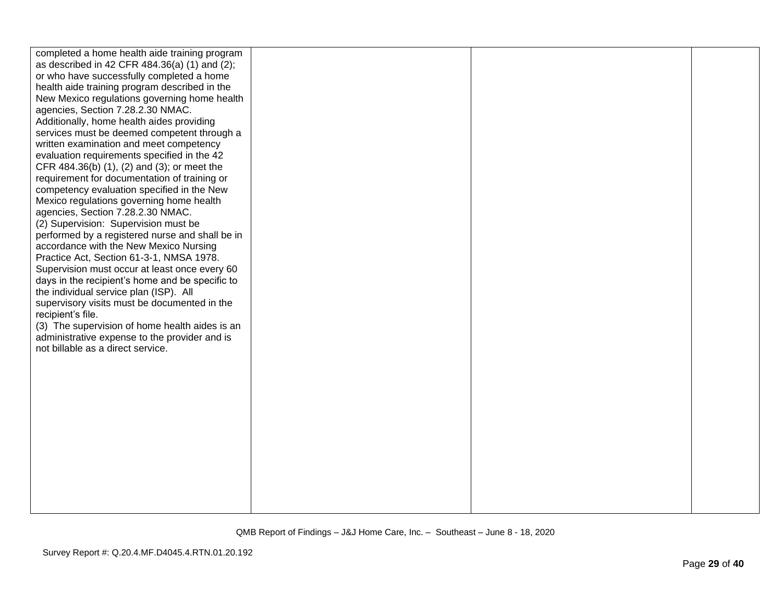| completed a home health aide training program   |  |  |
|-------------------------------------------------|--|--|
| as described in 42 CFR 484.36(a) (1) and (2);   |  |  |
| or who have successfully completed a home       |  |  |
| health aide training program described in the   |  |  |
| New Mexico regulations governing home health    |  |  |
| agencies, Section 7.28.2.30 NMAC.               |  |  |
| Additionally, home health aides providing       |  |  |
| services must be deemed competent through a     |  |  |
| written examination and meet competency         |  |  |
| evaluation requirements specified in the 42     |  |  |
| CFR 484.36(b) (1), (2) and (3); or meet the     |  |  |
| requirement for documentation of training or    |  |  |
| competency evaluation specified in the New      |  |  |
| Mexico regulations governing home health        |  |  |
| agencies, Section 7.28.2.30 NMAC.               |  |  |
| (2) Supervision: Supervision must be            |  |  |
| performed by a registered nurse and shall be in |  |  |
| accordance with the New Mexico Nursing          |  |  |
| Practice Act, Section 61-3-1, NMSA 1978.        |  |  |
| Supervision must occur at least once every 60   |  |  |
| days in the recipient's home and be specific to |  |  |
| the individual service plan (ISP). All          |  |  |
| supervisory visits must be documented in the    |  |  |
| recipient's file.                               |  |  |
| (3) The supervision of home health aides is an  |  |  |
| administrative expense to the provider and is   |  |  |
| not billable as a direct service.               |  |  |
|                                                 |  |  |
|                                                 |  |  |
|                                                 |  |  |
|                                                 |  |  |
|                                                 |  |  |
|                                                 |  |  |
|                                                 |  |  |
|                                                 |  |  |
|                                                 |  |  |
|                                                 |  |  |
|                                                 |  |  |
|                                                 |  |  |
|                                                 |  |  |
|                                                 |  |  |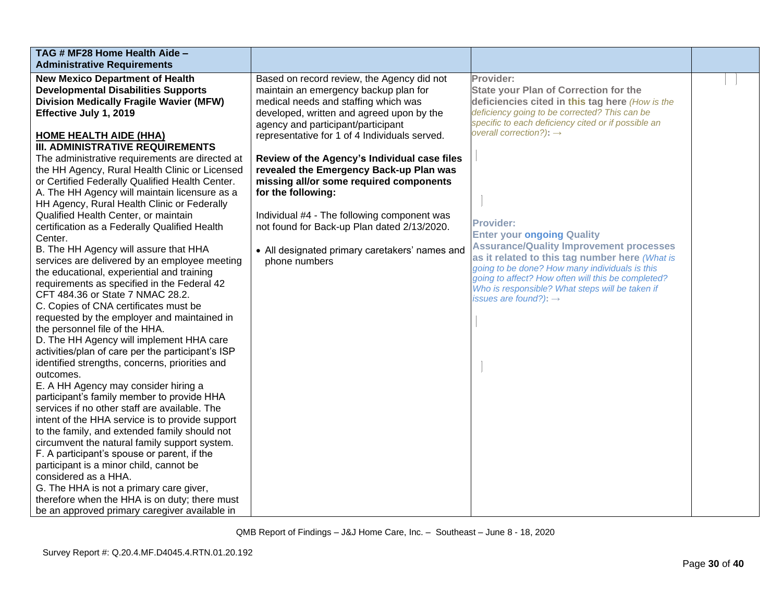| TAG # MF28 Home Health Aide -                                                               |                                                |                                                                                     |  |
|---------------------------------------------------------------------------------------------|------------------------------------------------|-------------------------------------------------------------------------------------|--|
| <b>Administrative Requirements</b>                                                          |                                                |                                                                                     |  |
| <b>New Mexico Department of Health</b>                                                      | Based on record review, the Agency did not     | Provider:                                                                           |  |
| <b>Developmental Disabilities Supports</b>                                                  | maintain an emergency backup plan for          | <b>State your Plan of Correction for the</b>                                        |  |
| <b>Division Medically Fragile Wavier (MFW)</b>                                              | medical needs and staffing which was           | deficiencies cited in this tag here (How is the                                     |  |
| Effective July 1, 2019                                                                      | developed, written and agreed upon by the      | deficiency going to be corrected? This can be                                       |  |
|                                                                                             | agency and participant/participant             | specific to each deficiency cited or if possible an                                 |  |
| <b>HOME HEALTH AIDE (HHA)</b>                                                               | representative for 1 of 4 Individuals served.  | overall correction?): $\rightarrow$                                                 |  |
| <b>III. ADMINISTRATIVE REQUIREMENTS</b>                                                     |                                                |                                                                                     |  |
| The administrative requirements are directed at                                             | Review of the Agency's Individual case files   |                                                                                     |  |
| the HH Agency, Rural Health Clinic or Licensed                                              | revealed the Emergency Back-up Plan was        |                                                                                     |  |
| or Certified Federally Qualified Health Center.                                             | missing all/or some required components        |                                                                                     |  |
| A. The HH Agency will maintain licensure as a                                               | for the following:                             |                                                                                     |  |
| HH Agency, Rural Health Clinic or Federally                                                 |                                                |                                                                                     |  |
| Qualified Health Center, or maintain                                                        | Individual #4 - The following component was    | <b>Provider:</b>                                                                    |  |
| certification as a Federally Qualified Health                                               | not found for Back-up Plan dated 2/13/2020.    |                                                                                     |  |
| Center.                                                                                     |                                                | <b>Enter your ongoing Quality</b><br><b>Assurance/Quality Improvement processes</b> |  |
| B. The HH Agency will assure that HHA                                                       | • All designated primary caretakers' names and | as it related to this tag number here (What is                                      |  |
| services are delivered by an employee meeting                                               | phone numbers                                  | going to be done? How many individuals is this                                      |  |
| the educational, experiential and training                                                  |                                                | going to affect? How often will this be completed?                                  |  |
| requirements as specified in the Federal 42                                                 |                                                | Who is responsible? What steps will be taken if                                     |  |
| CFT 484.36 or State 7 NMAC 28.2.                                                            |                                                | issues are found?): $\rightarrow$                                                   |  |
| C. Copies of CNA certificates must be                                                       |                                                |                                                                                     |  |
| requested by the employer and maintained in                                                 |                                                |                                                                                     |  |
| the personnel file of the HHA.                                                              |                                                |                                                                                     |  |
| D. The HH Agency will implement HHA care                                                    |                                                |                                                                                     |  |
| activities/plan of care per the participant's ISP                                           |                                                |                                                                                     |  |
| identified strengths, concerns, priorities and                                              |                                                |                                                                                     |  |
| outcomes.                                                                                   |                                                |                                                                                     |  |
| E. A HH Agency may consider hiring a                                                        |                                                |                                                                                     |  |
| participant's family member to provide HHA<br>services if no other staff are available. The |                                                |                                                                                     |  |
| intent of the HHA service is to provide support                                             |                                                |                                                                                     |  |
| to the family, and extended family should not                                               |                                                |                                                                                     |  |
| circumvent the natural family support system.                                               |                                                |                                                                                     |  |
| F. A participant's spouse or parent, if the                                                 |                                                |                                                                                     |  |
| participant is a minor child, cannot be                                                     |                                                |                                                                                     |  |
| considered as a HHA.                                                                        |                                                |                                                                                     |  |
| G. The HHA is not a primary care giver,                                                     |                                                |                                                                                     |  |
| therefore when the HHA is on duty; there must                                               |                                                |                                                                                     |  |
| be an approved primary caregiver available in                                               |                                                |                                                                                     |  |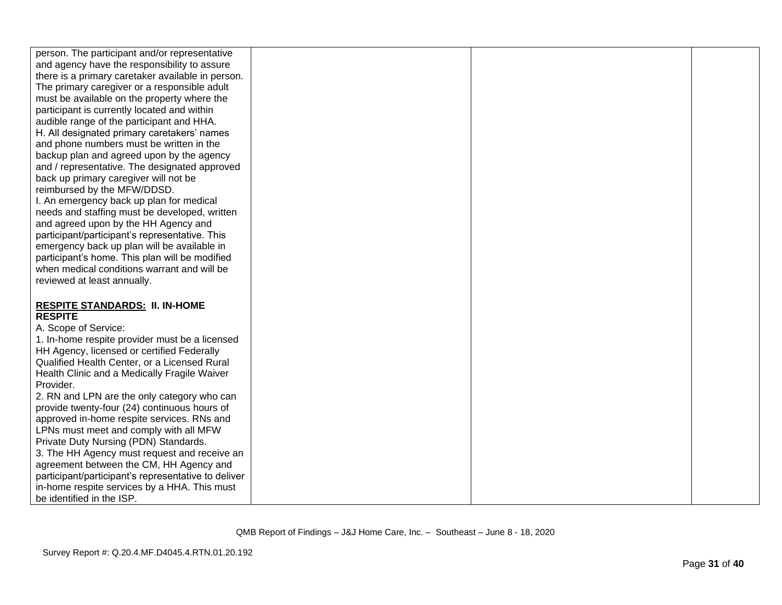| person. The participant and/or representative                                                |  |  |
|----------------------------------------------------------------------------------------------|--|--|
| and agency have the responsibility to assure                                                 |  |  |
| there is a primary caretaker available in person.                                            |  |  |
| The primary caregiver or a responsible adult                                                 |  |  |
| must be available on the property where the                                                  |  |  |
| participant is currently located and within                                                  |  |  |
| audible range of the participant and HHA.                                                    |  |  |
| H. All designated primary caretakers' names                                                  |  |  |
| and phone numbers must be written in the                                                     |  |  |
| backup plan and agreed upon by the agency                                                    |  |  |
| and / representative. The designated approved                                                |  |  |
| back up primary caregiver will not be                                                        |  |  |
| reimbursed by the MFW/DDSD.                                                                  |  |  |
| I. An emergency back up plan for medical                                                     |  |  |
| needs and staffing must be developed, written                                                |  |  |
| and agreed upon by the HH Agency and                                                         |  |  |
| participant/participant's representative. This                                               |  |  |
| emergency back up plan will be available in                                                  |  |  |
| participant's home. This plan will be modified                                               |  |  |
| when medical conditions warrant and will be                                                  |  |  |
| reviewed at least annually.                                                                  |  |  |
|                                                                                              |  |  |
|                                                                                              |  |  |
| <b>RESPITE STANDARDS: II. IN-HOME</b><br><b>RESPITE</b>                                      |  |  |
| A. Scope of Service:                                                                         |  |  |
|                                                                                              |  |  |
| 1. In-home respite provider must be a licensed<br>HH Agency, licensed or certified Federally |  |  |
| Qualified Health Center, or a Licensed Rural                                                 |  |  |
|                                                                                              |  |  |
| Health Clinic and a Medically Fragile Waiver                                                 |  |  |
| Provider.                                                                                    |  |  |
| 2. RN and LPN are the only category who can                                                  |  |  |
| provide twenty-four (24) continuous hours of<br>approved in-home respite services. RNs and   |  |  |
|                                                                                              |  |  |
| LPNs must meet and comply with all MFW                                                       |  |  |
| Private Duty Nursing (PDN) Standards.                                                        |  |  |
| 3. The HH Agency must request and receive an                                                 |  |  |
| agreement between the CM, HH Agency and                                                      |  |  |
| participant/participant's representative to deliver                                          |  |  |
| in-home respite services by a HHA. This must                                                 |  |  |
| be identified in the ISP.                                                                    |  |  |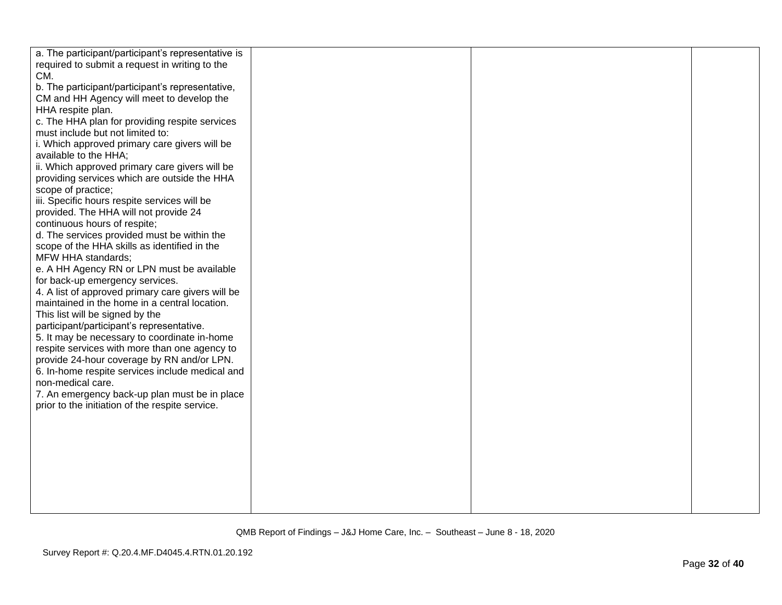| a. The participant/participant's representative is |  |  |
|----------------------------------------------------|--|--|
| required to submit a request in writing to the     |  |  |
| CM.                                                |  |  |
| b. The participant/participant's representative,   |  |  |
|                                                    |  |  |
| CM and HH Agency will meet to develop the          |  |  |
| HHA respite plan.                                  |  |  |
| c. The HHA plan for providing respite services     |  |  |
| must include but not limited to:                   |  |  |
| i. Which approved primary care givers will be      |  |  |
| available to the HHA;                              |  |  |
| ii. Which approved primary care givers will be     |  |  |
| providing services which are outside the HHA       |  |  |
| scope of practice;                                 |  |  |
| iii. Specific hours respite services will be       |  |  |
| provided. The HHA will not provide 24              |  |  |
| continuous hours of respite;                       |  |  |
| d. The services provided must be within the        |  |  |
| scope of the HHA skills as identified in the       |  |  |
| <b>MFW HHA standards;</b>                          |  |  |
| e. A HH Agency RN or LPN must be available         |  |  |
| for back-up emergency services.                    |  |  |
| 4. A list of approved primary care givers will be  |  |  |
| maintained in the home in a central location.      |  |  |
| This list will be signed by the                    |  |  |
| participant/participant's representative.          |  |  |
| 5. It may be necessary to coordinate in-home       |  |  |
| respite services with more than one agency to      |  |  |
|                                                    |  |  |
| provide 24-hour coverage by RN and/or LPN.         |  |  |
| 6. In-home respite services include medical and    |  |  |
| non-medical care.                                  |  |  |
| 7. An emergency back-up plan must be in place      |  |  |
| prior to the initiation of the respite service.    |  |  |
|                                                    |  |  |
|                                                    |  |  |
|                                                    |  |  |
|                                                    |  |  |
|                                                    |  |  |
|                                                    |  |  |
|                                                    |  |  |
|                                                    |  |  |
|                                                    |  |  |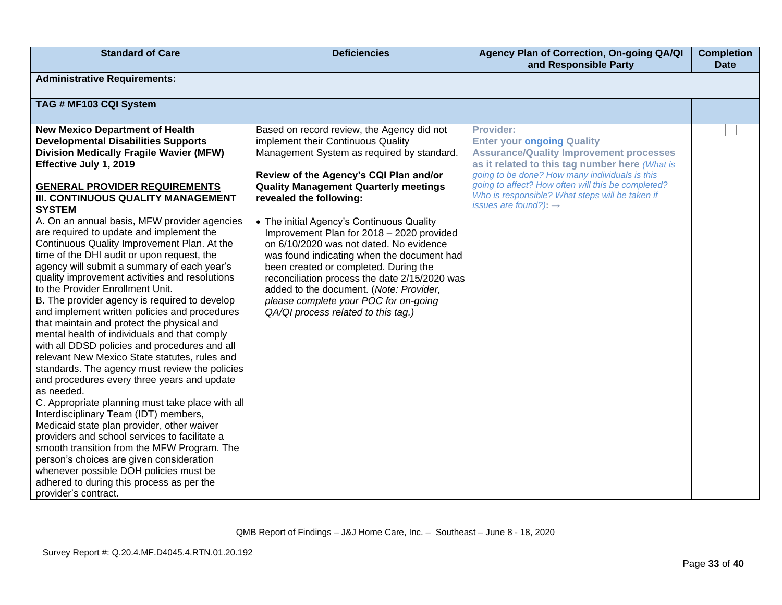| <b>Standard of Care</b>                                                                                                                                                                                                                                                                                                                                                                                                                                                                                                                                                                                                                                                                                                                                                                                                                                                                                                                                                                                                                                                                                                                                                                                                                                                                                                                                                                                              | <b>Deficiencies</b>                                                                                                                                                                                                                                                                                                                                                                                                                                                                                                                                                                                                                                         | Agency Plan of Correction, On-going QA/QI<br>and Responsible Party                                                                                                                                                                                                                                                                                 | <b>Completion</b><br><b>Date</b> |
|----------------------------------------------------------------------------------------------------------------------------------------------------------------------------------------------------------------------------------------------------------------------------------------------------------------------------------------------------------------------------------------------------------------------------------------------------------------------------------------------------------------------------------------------------------------------------------------------------------------------------------------------------------------------------------------------------------------------------------------------------------------------------------------------------------------------------------------------------------------------------------------------------------------------------------------------------------------------------------------------------------------------------------------------------------------------------------------------------------------------------------------------------------------------------------------------------------------------------------------------------------------------------------------------------------------------------------------------------------------------------------------------------------------------|-------------------------------------------------------------------------------------------------------------------------------------------------------------------------------------------------------------------------------------------------------------------------------------------------------------------------------------------------------------------------------------------------------------------------------------------------------------------------------------------------------------------------------------------------------------------------------------------------------------------------------------------------------------|----------------------------------------------------------------------------------------------------------------------------------------------------------------------------------------------------------------------------------------------------------------------------------------------------------------------------------------------------|----------------------------------|
| <b>Administrative Requirements:</b>                                                                                                                                                                                                                                                                                                                                                                                                                                                                                                                                                                                                                                                                                                                                                                                                                                                                                                                                                                                                                                                                                                                                                                                                                                                                                                                                                                                  |                                                                                                                                                                                                                                                                                                                                                                                                                                                                                                                                                                                                                                                             |                                                                                                                                                                                                                                                                                                                                                    |                                  |
| TAG # MF103 CQI System                                                                                                                                                                                                                                                                                                                                                                                                                                                                                                                                                                                                                                                                                                                                                                                                                                                                                                                                                                                                                                                                                                                                                                                                                                                                                                                                                                                               |                                                                                                                                                                                                                                                                                                                                                                                                                                                                                                                                                                                                                                                             |                                                                                                                                                                                                                                                                                                                                                    |                                  |
| <b>New Mexico Department of Health</b><br><b>Developmental Disabilities Supports</b><br><b>Division Medically Fragile Wavier (MFW)</b><br>Effective July 1, 2019<br><b>GENERAL PROVIDER REQUIREMENTS</b><br>III. CONTINUOUS QUALITY MANAGEMENT<br><b>SYSTEM</b><br>A. On an annual basis, MFW provider agencies<br>are required to update and implement the<br>Continuous Quality Improvement Plan. At the<br>time of the DHI audit or upon request, the<br>agency will submit a summary of each year's<br>quality improvement activities and resolutions<br>to the Provider Enrollment Unit.<br>B. The provider agency is required to develop<br>and implement written policies and procedures<br>that maintain and protect the physical and<br>mental health of individuals and that comply<br>with all DDSD policies and procedures and all<br>relevant New Mexico State statutes, rules and<br>standards. The agency must review the policies<br>and procedures every three years and update<br>as needed.<br>C. Appropriate planning must take place with all<br>Interdisciplinary Team (IDT) members,<br>Medicaid state plan provider, other waiver<br>providers and school services to facilitate a<br>smooth transition from the MFW Program. The<br>person's choices are given consideration<br>whenever possible DOH policies must be<br>adhered to during this process as per the<br>provider's contract. | Based on record review, the Agency did not<br>implement their Continuous Quality<br>Management System as required by standard.<br>Review of the Agency's CQI Plan and/or<br><b>Quality Management Quarterly meetings</b><br>revealed the following:<br>• The initial Agency's Continuous Quality<br>Improvement Plan for 2018 - 2020 provided<br>on 6/10/2020 was not dated. No evidence<br>was found indicating when the document had<br>been created or completed. During the<br>reconciliation process the date 2/15/2020 was<br>added to the document. (Note: Provider,<br>please complete your POC for on-going<br>QA/QI process related to this tag.) | Provider:<br><b>Enter your ongoing Quality</b><br><b>Assurance/Quality Improvement processes</b><br>as it related to this tag number here (What is<br>going to be done? How many individuals is this<br>going to affect? How often will this be completed?<br>Who is responsible? What steps will be taken if<br>issues are found?): $\rightarrow$ |                                  |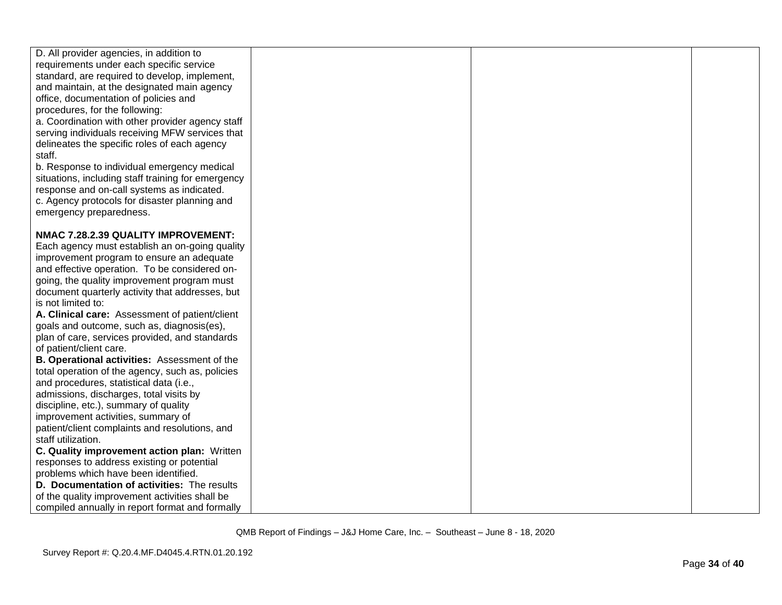| D. All provider agencies, in addition to                                    |  |  |
|-----------------------------------------------------------------------------|--|--|
| requirements under each specific service                                    |  |  |
| standard, are required to develop, implement,                               |  |  |
| and maintain, at the designated main agency                                 |  |  |
| office, documentation of policies and                                       |  |  |
| procedures, for the following:                                              |  |  |
| a. Coordination with other provider agency staff                            |  |  |
| serving individuals receiving MFW services that                             |  |  |
| delineates the specific roles of each agency                                |  |  |
| staff.                                                                      |  |  |
| b. Response to individual emergency medical                                 |  |  |
| situations, including staff training for emergency                          |  |  |
| response and on-call systems as indicated.                                  |  |  |
| c. Agency protocols for disaster planning and                               |  |  |
| emergency preparedness.                                                     |  |  |
|                                                                             |  |  |
| NMAC 7.28.2.39 QUALITY IMPROVEMENT:                                         |  |  |
| Each agency must establish an on-going quality                              |  |  |
| improvement program to ensure an adequate                                   |  |  |
| and effective operation. To be considered on-                               |  |  |
| going, the quality improvement program must                                 |  |  |
| document quarterly activity that addresses, but                             |  |  |
| is not limited to:                                                          |  |  |
| A. Clinical care: Assessment of patient/client                              |  |  |
| goals and outcome, such as, diagnosis(es),                                  |  |  |
| plan of care, services provided, and standards                              |  |  |
| of patient/client care.                                                     |  |  |
| B. Operational activities: Assessment of the                                |  |  |
| total operation of the agency, such as, policies                            |  |  |
| and procedures, statistical data (i.e.,                                     |  |  |
| admissions, discharges, total visits by                                     |  |  |
| discipline, etc.), summary of quality<br>improvement activities, summary of |  |  |
| patient/client complaints and resolutions, and                              |  |  |
| staff utilization.                                                          |  |  |
| C. Quality improvement action plan: Written                                 |  |  |
| responses to address existing or potential                                  |  |  |
| problems which have been identified.                                        |  |  |
| D. Documentation of activities: The results                                 |  |  |
| of the quality improvement activities shall be                              |  |  |
| compiled annually in report format and formally                             |  |  |
|                                                                             |  |  |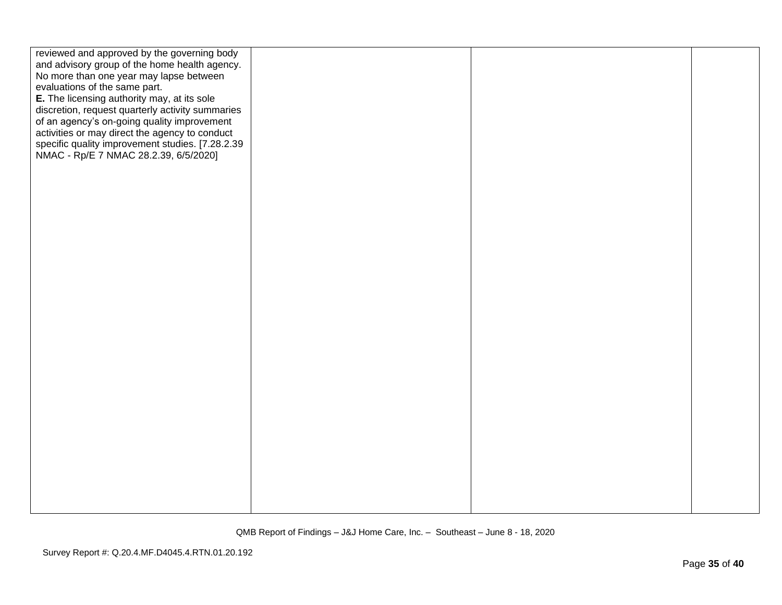| reviewed and approved by the governing body      |  |  |
|--------------------------------------------------|--|--|
| and advisory group of the home health agency.    |  |  |
| No more than one year may lapse between          |  |  |
| evaluations of the same part.                    |  |  |
|                                                  |  |  |
| E. The licensing authority may, at its sole      |  |  |
| discretion, request quarterly activity summaries |  |  |
| of an agency's on-going quality improvement      |  |  |
| activities or may direct the agency to conduct   |  |  |
| specific quality improvement studies. [7.28.2.39 |  |  |
| NMAC - Rp/E 7 NMAC 28.2.39, 6/5/2020]            |  |  |
|                                                  |  |  |
|                                                  |  |  |
|                                                  |  |  |
|                                                  |  |  |
|                                                  |  |  |
|                                                  |  |  |
|                                                  |  |  |
|                                                  |  |  |
|                                                  |  |  |
|                                                  |  |  |
|                                                  |  |  |
|                                                  |  |  |
|                                                  |  |  |
|                                                  |  |  |
|                                                  |  |  |
|                                                  |  |  |
|                                                  |  |  |
|                                                  |  |  |
|                                                  |  |  |
|                                                  |  |  |
|                                                  |  |  |
|                                                  |  |  |
|                                                  |  |  |
|                                                  |  |  |
|                                                  |  |  |
|                                                  |  |  |
|                                                  |  |  |
|                                                  |  |  |
|                                                  |  |  |
|                                                  |  |  |
|                                                  |  |  |
|                                                  |  |  |
|                                                  |  |  |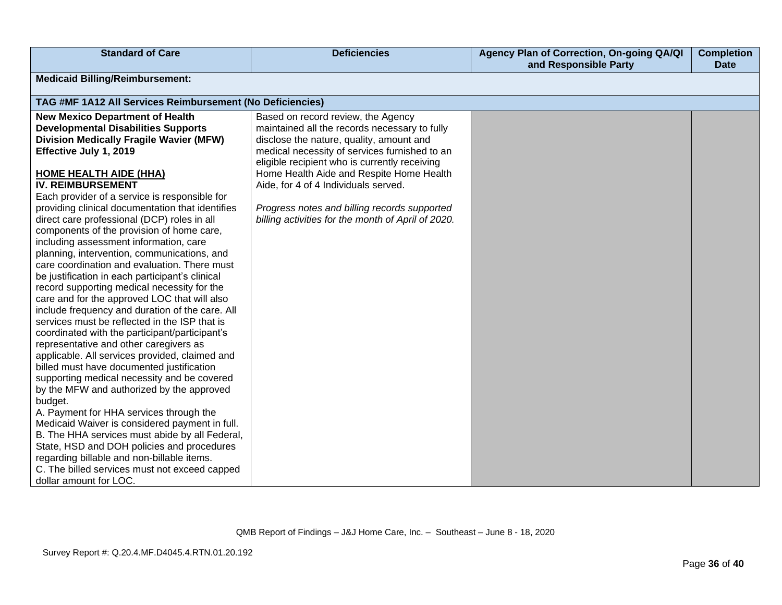| <b>Standard of Care</b>                                                                     | <b>Deficiencies</b>                                                                            | Agency Plan of Correction, On-going QA/QI<br>and Responsible Party | <b>Completion</b><br><b>Date</b> |
|---------------------------------------------------------------------------------------------|------------------------------------------------------------------------------------------------|--------------------------------------------------------------------|----------------------------------|
| <b>Medicaid Billing/Reimbursement:</b>                                                      |                                                                                                |                                                                    |                                  |
| TAG #MF 1A12 All Services Reimbursement (No Deficiencies)                                   |                                                                                                |                                                                    |                                  |
| <b>New Mexico Department of Health</b>                                                      | Based on record review, the Agency                                                             |                                                                    |                                  |
| <b>Developmental Disabilities Supports</b>                                                  | maintained all the records necessary to fully                                                  |                                                                    |                                  |
| <b>Division Medically Fragile Wavier (MFW)</b>                                              | disclose the nature, quality, amount and                                                       |                                                                    |                                  |
| Effective July 1, 2019                                                                      | medical necessity of services furnished to an<br>eligible recipient who is currently receiving |                                                                    |                                  |
| <b>HOME HEALTH AIDE (HHA)</b>                                                               | Home Health Aide and Respite Home Health                                                       |                                                                    |                                  |
| <b>IV. REIMBURSEMENT</b>                                                                    | Aide, for 4 of 4 Individuals served.                                                           |                                                                    |                                  |
| Each provider of a service is responsible for                                               |                                                                                                |                                                                    |                                  |
| providing clinical documentation that identifies                                            | Progress notes and billing records supported                                                   |                                                                    |                                  |
| direct care professional (DCP) roles in all                                                 | billing activities for the month of April of 2020.                                             |                                                                    |                                  |
| components of the provision of home care,                                                   |                                                                                                |                                                                    |                                  |
| including assessment information, care                                                      |                                                                                                |                                                                    |                                  |
| planning, intervention, communications, and<br>care coordination and evaluation. There must |                                                                                                |                                                                    |                                  |
| be justification in each participant's clinical                                             |                                                                                                |                                                                    |                                  |
| record supporting medical necessity for the                                                 |                                                                                                |                                                                    |                                  |
| care and for the approved LOC that will also                                                |                                                                                                |                                                                    |                                  |
| include frequency and duration of the care. All                                             |                                                                                                |                                                                    |                                  |
| services must be reflected in the ISP that is                                               |                                                                                                |                                                                    |                                  |
| coordinated with the participant/participant's                                              |                                                                                                |                                                                    |                                  |
| representative and other caregivers as                                                      |                                                                                                |                                                                    |                                  |
| applicable. All services provided, claimed and                                              |                                                                                                |                                                                    |                                  |
| billed must have documented justification                                                   |                                                                                                |                                                                    |                                  |
| supporting medical necessity and be covered                                                 |                                                                                                |                                                                    |                                  |
| by the MFW and authorized by the approved<br>budget.                                        |                                                                                                |                                                                    |                                  |
| A. Payment for HHA services through the                                                     |                                                                                                |                                                                    |                                  |
| Medicaid Waiver is considered payment in full.                                              |                                                                                                |                                                                    |                                  |
| B. The HHA services must abide by all Federal,                                              |                                                                                                |                                                                    |                                  |
| State, HSD and DOH policies and procedures                                                  |                                                                                                |                                                                    |                                  |
| regarding billable and non-billable items.                                                  |                                                                                                |                                                                    |                                  |
| C. The billed services must not exceed capped                                               |                                                                                                |                                                                    |                                  |
| dollar amount for LOC.                                                                      |                                                                                                |                                                                    |                                  |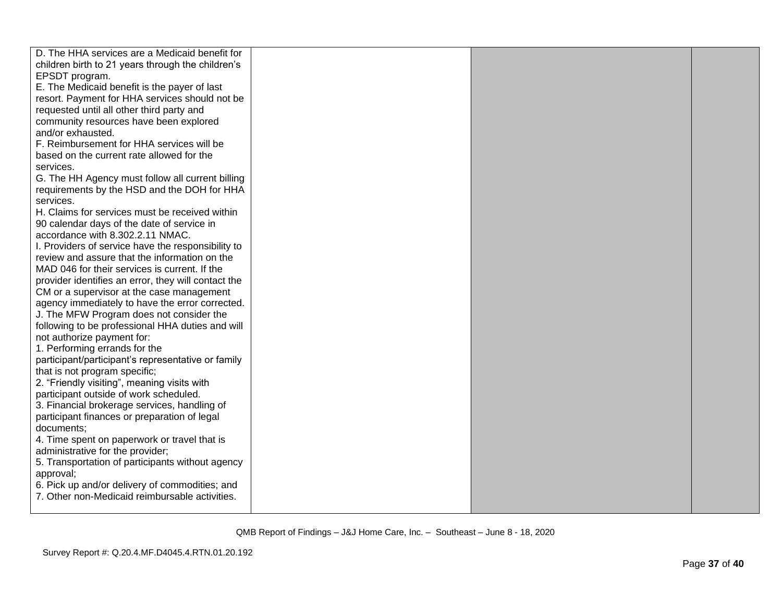| D. The HHA services are a Medicaid benefit for                                   |  |  |
|----------------------------------------------------------------------------------|--|--|
| children birth to 21 years through the children's                                |  |  |
| EPSDT program.                                                                   |  |  |
|                                                                                  |  |  |
| E. The Medicaid benefit is the payer of last                                     |  |  |
| resort. Payment for HHA services should not be                                   |  |  |
| requested until all other third party and                                        |  |  |
| community resources have been explored                                           |  |  |
| and/or exhausted.                                                                |  |  |
| F. Reimbursement for HHA services will be                                        |  |  |
| based on the current rate allowed for the                                        |  |  |
| services.                                                                        |  |  |
| G. The HH Agency must follow all current billing                                 |  |  |
| requirements by the HSD and the DOH for HHA                                      |  |  |
| services.                                                                        |  |  |
| H. Claims for services must be received within                                   |  |  |
| 90 calendar days of the date of service in                                       |  |  |
| accordance with 8.302.2.11 NMAC.                                                 |  |  |
| I. Providers of service have the responsibility to                               |  |  |
| review and assure that the information on the                                    |  |  |
| MAD 046 for their services is current. If the                                    |  |  |
| provider identifies an error, they will contact the                              |  |  |
| CM or a supervisor at the case management                                        |  |  |
| agency immediately to have the error corrected.                                  |  |  |
| J. The MFW Program does not consider the                                         |  |  |
| following to be professional HHA duties and will                                 |  |  |
| not authorize payment for:                                                       |  |  |
| 1. Performing errands for the                                                    |  |  |
| participant/participant's representative or family                               |  |  |
| that is not program specific;                                                    |  |  |
| 2. "Friendly visiting", meaning visits with                                      |  |  |
| participant outside of work scheduled.                                           |  |  |
| 3. Financial brokerage services, handling of                                     |  |  |
| participant finances or preparation of legal                                     |  |  |
| documents;                                                                       |  |  |
|                                                                                  |  |  |
| 4. Time spent on paperwork or travel that is<br>administrative for the provider; |  |  |
|                                                                                  |  |  |
| 5. Transportation of participants without agency                                 |  |  |
| approval;                                                                        |  |  |
| 6. Pick up and/or delivery of commodities; and                                   |  |  |
| 7. Other non-Medicaid reimbursable activities.                                   |  |  |
|                                                                                  |  |  |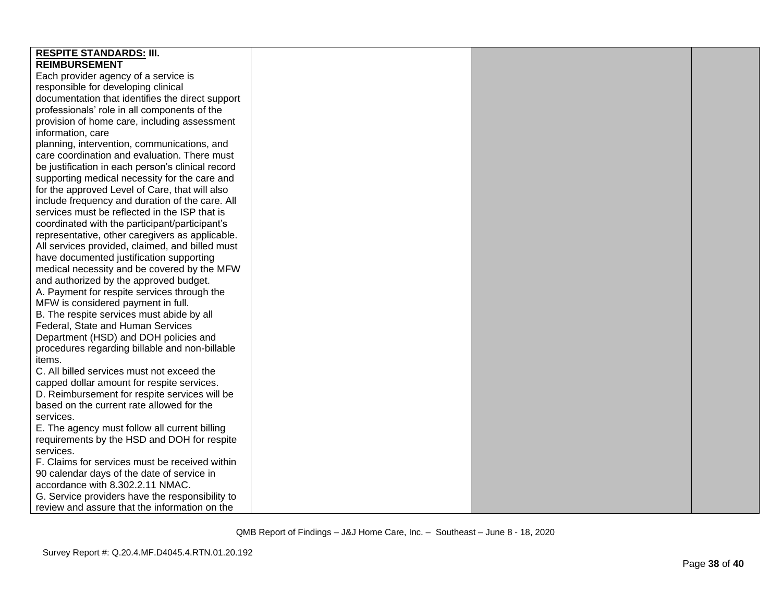| <b>RESPITE STANDARDS: III.</b>                    |  |  |
|---------------------------------------------------|--|--|
| <b>REIMBURSEMENT</b>                              |  |  |
| Each provider agency of a service is              |  |  |
| responsible for developing clinical               |  |  |
| documentation that identifies the direct support  |  |  |
| professionals' role in all components of the      |  |  |
| provision of home care, including assessment      |  |  |
| information, care                                 |  |  |
| planning, intervention, communications, and       |  |  |
| care coordination and evaluation. There must      |  |  |
| be justification in each person's clinical record |  |  |
| supporting medical necessity for the care and     |  |  |
| for the approved Level of Care, that will also    |  |  |
| include frequency and duration of the care. All   |  |  |
| services must be reflected in the ISP that is     |  |  |
| coordinated with the participant/participant's    |  |  |
| representative, other caregivers as applicable.   |  |  |
| All services provided, claimed, and billed must   |  |  |
| have documented justification supporting          |  |  |
| medical necessity and be covered by the MFW       |  |  |
| and authorized by the approved budget.            |  |  |
| A. Payment for respite services through the       |  |  |
| MFW is considered payment in full.                |  |  |
| B. The respite services must abide by all         |  |  |
| Federal, State and Human Services                 |  |  |
| Department (HSD) and DOH policies and             |  |  |
| procedures regarding billable and non-billable    |  |  |
| items.                                            |  |  |
| C. All billed services must not exceed the        |  |  |
| capped dollar amount for respite services.        |  |  |
| D. Reimbursement for respite services will be     |  |  |
| based on the current rate allowed for the         |  |  |
| services.                                         |  |  |
| E. The agency must follow all current billing     |  |  |
| requirements by the HSD and DOH for respite       |  |  |
| services.                                         |  |  |
| F. Claims for services must be received within    |  |  |
| 90 calendar days of the date of service in        |  |  |
| accordance with 8.302.2.11 NMAC.                  |  |  |
| G. Service providers have the responsibility to   |  |  |
| review and assure that the information on the     |  |  |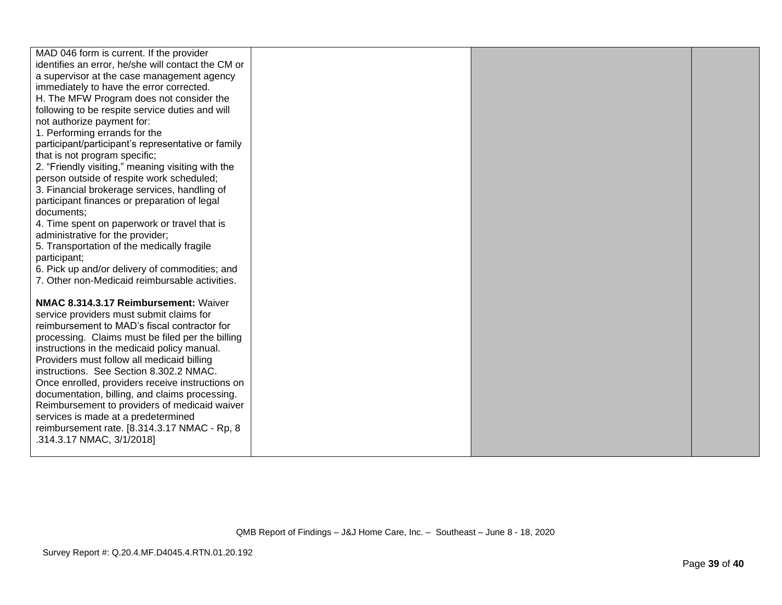| MAD 046 form is current. If the provider<br>identifies an error, he/she will contact the CM or   |  |  |
|--------------------------------------------------------------------------------------------------|--|--|
| a supervisor at the case management agency                                                       |  |  |
| immediately to have the error corrected.                                                         |  |  |
| H. The MFW Program does not consider the                                                         |  |  |
| following to be respite service duties and will                                                  |  |  |
| not authorize payment for:                                                                       |  |  |
| 1. Performing errands for the                                                                    |  |  |
| participant/participant's representative or family                                               |  |  |
| that is not program specific;                                                                    |  |  |
| 2. "Friendly visiting," meaning visiting with the                                                |  |  |
| person outside of respite work scheduled;                                                        |  |  |
| 3. Financial brokerage services, handling of                                                     |  |  |
| participant finances or preparation of legal                                                     |  |  |
| documents:                                                                                       |  |  |
| 4. Time spent on paperwork or travel that is                                                     |  |  |
| administrative for the provider;                                                                 |  |  |
| 5. Transportation of the medically fragile                                                       |  |  |
| participant;                                                                                     |  |  |
| 6. Pick up and/or delivery of commodities; and<br>7. Other non-Medicaid reimbursable activities. |  |  |
|                                                                                                  |  |  |
| NMAC 8.314.3.17 Reimbursement: Waiver                                                            |  |  |
| service providers must submit claims for                                                         |  |  |
| reimbursement to MAD's fiscal contractor for                                                     |  |  |
| processing. Claims must be filed per the billing                                                 |  |  |
| instructions in the medicaid policy manual.                                                      |  |  |
| Providers must follow all medicaid billing                                                       |  |  |
| instructions. See Section 8.302.2 NMAC.                                                          |  |  |
| Once enrolled, providers receive instructions on                                                 |  |  |
| documentation, billing, and claims processing.                                                   |  |  |
| Reimbursement to providers of medicaid waiver                                                    |  |  |
| services is made at a predetermined                                                              |  |  |
| reimbursement rate. [8.314.3.17 NMAC - Rp, 8                                                     |  |  |
| .314.3.17 NMAC, 3/1/2018]                                                                        |  |  |
|                                                                                                  |  |  |